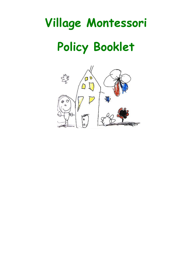# **Village Montessori Policy Booklet**

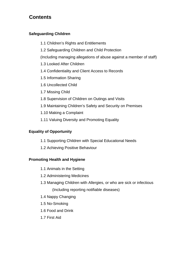# **Contents**

# **Safeguarding Children**

- 1.1 Children's Rights and Entitlements
- 1.2 Safeguarding Children and Child Protection

(Including managing allegations of abuse against a member of staff)

- 1.3 Looked After Children
- 1.4 Confidentiality and Client Access to Records
- 1.5 Information Sharing
- 1.6 Uncollected Child
- 1.7 Missing Child
- 1.8 Supervision of Children on Outings and Visits
- 1.9 Maintaining Children's Safety and Security on Premises
- 1.10 Making a Complaint
- 1.11 Valuing Diversity and Promoting Equality

# **Equality of Opportunity**

- 1.1 Supporting Children with Special Educational Needs
- 1.2 Achieving Positive Behaviour

# **Promoting Health and Hygiene**

- 1.1 Animals in the Setting
- 1.2 Administering Medicines
- 1.3 Managing Children with Allergies, or who are sick or infectious (Including reporting notifiable diseases)
- 1.4 Nappy Changing
- 1.5 No-Smoking
- 1.6 Food and Drink
- 1.7 First Aid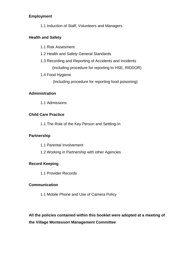# **Employment**

1.1 Induction of Staff, Volunteers and Managers

# **Health and Safety**

- 1.1 Risk Assesment
- 1.2 Health and Safety General Standards
- 1.3 Recording and Reporting of Accidents and Incidents
	- (Including procedure for reporting to HSE, RIDDOR)
- 1.4 Food Hygiene

(Including procedure for reporting food poisoning)

# **Administration**

1.1 Admissions

# **Child Care Practice**

1.1 The Role of the Key Person and Settling-In

# **Partnership**

- 1.1 Parental Involvement
- 1.2 Working in Partnership with other Agencies

# **Record Keeping**

1.1 Provider Records

# **Communication**

1.1 Mobile Phone and Use of Camera Policy

# **All the policies contained within this booklet were adopted at a meeting of the Village Montessori Management Committee**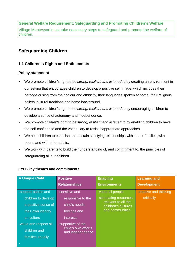Village Montessori must take necessary steps to safeguard and promote the welfare of children.

# **Safeguarding Children**

# **1.1 Children's Rights and Entitlements**

# **Policy statement**

- We promote children's right to be *strong, resilient and listened to* by creating an environment in our setting that encourages children to develop a positive self image, which includes their heritage arising from their colour and ethnicity, their languages spoken at home, their religious beliefs, cultural traditions and home background.
- We promote children's right to be *strong, resilient and listened to* by encouraging children to develop a sense of autonomy and independence.
- We promote children's right to be *strong, resilient and listened to* by enabling children to have the self-confidence and the vocabulary to resist inappropriate approaches.
- We help children to establish and sustain satisfying relationships within their families, with peers, and with other adults.
- We work with parents to build their understanding of, and commitment to, the principles of safeguarding all our children.

| A Unique Child         | <b>Positive</b>                         | <b>Enabling</b>                            | <b>Learning and</b>   |
|------------------------|-----------------------------------------|--------------------------------------------|-----------------------|
|                        | <b>Relationships</b>                    | <b>Environments</b>                        | <b>Development</b>    |
| -support babies and    | -sensitive and                          | -value all people                          | creative and thinking |
| children to develop    | responsive to the                       | -stimulating resources,                    | critically            |
| a positive sense of    | child's needs,                          | relevant to all the<br>children's cultures |                       |
| their own identity     | feelings and                            | and communities                            |                       |
| an culture             | <i>interests</i>                        |                                            |                       |
| -value and respect all | -supportive of the                      |                                            |                       |
| children and           | child's own efforts<br>and independence |                                            |                       |
| families equally       |                                         |                                            |                       |
|                        |                                         |                                            |                       |

#### **EYFS key themes and commitments**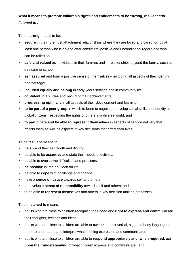**What it means to promote children's rights and entitlements to be '***strong, resilient and listened to'.* 

To be **strong** means to be:

- **secure** in their foremost attachment relationships where they are loved and cared for, by at least one person who is able to offer consistent, positive and unconditional regard and who can be relied on;
- **safe and valued** as individuals in their families and in relationships beyond the family, such as day care or school ;
- **self assured** and form a positive sense of themselves including all aspects of their identity and heritage;
- **included equally and belong** in early years settings and in community life;
- **confident in abilities** and **proud** of their achievements**;**
- **progressing optimally** in all aspects of their development and learning;
- **to be part of a peer group** in which to learn to negotiate, develop social skills and identity as global citizens, respecting the rights of others in a diverse world; and
- **to participate and be able to represent themselves** in aspects of service delivery that affects them as well as aspects of key decisions that affect their lives.

To be r**esilient** means to:

- **be sure** of their self worth and dignity;
- be able to be **assertive** and state their needs effectively;
- be able to **overcome** difficulties and problems;
- **be positive** in their outlook on life;
- be able to **cope** with challenge and change;
- have a **sense of justice** towards self and others;
- to develop a **sense of responsibility** towards self and others; and
- to be able to **represent** themselves and others in key decision making processes.

To be **listened to** means:

- adults who are close to children recognise their need and **right to express and communicate** their thoughts, feelings and ideas;
- adults who are close to children are able to **tune in** to their verbal, sign and body language in order to understand and interpret what is being expressed and communicated;
- adults who are close to children are able to **respond appropriately and, when required, act upon their understanding** of what children express and communicate ; and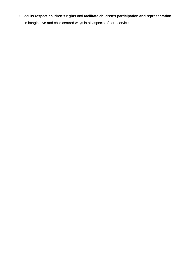• adults **respect children's rights** and **facilitate children's participation and representation**  in imaginative and child centred ways in all aspects of core services.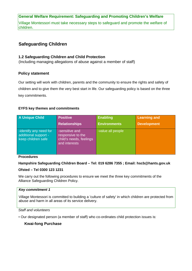Village Montessori must take necessary steps to safeguard and promote the welfare of children.

# **Safeguarding Children**

#### **1.2 Safeguarding Children and Child Protection**

(Including managing allegations of abuse against a member of staff)

#### **Policy statement**

Our setting will work with children, parents and the community to ensure the rights and safety of children and to give them the very best start in life. Our safeguarding policy is based on the three key commitments.

#### **EYFS key themes and commitments**

| <b>A Unique Child</b>                                                | <b>Positive</b>                                                                 | <b>Enabling</b>     | <b>Learning and</b> |
|----------------------------------------------------------------------|---------------------------------------------------------------------------------|---------------------|---------------------|
|                                                                      | <b>Relationships</b>                                                            | <b>Environments</b> | <b>Development</b>  |
| -identify any need for<br>additional support -<br>keep children safe | -sensitive and<br>responsive to the<br>child's needs, feelings<br>and interests | value all people    |                     |

**Procedures** 

#### **Hampshire Safeguarding Children Board – Tel: 019 6286 7355 ; Email: hscb@hants.gov.uk**

#### **Ofsted – Tel 0300 123 1231**

We carry out the following procedures to ensure we meet the three key commitments of the Alliance Safeguarding Children Policy.

#### *Key commitment 1*

Village Montessori is committed to building a 'culture of safety' in which children are protected from abuse and harm in all areas of its service delivery.

#### *Staff and volunteers*

• Our designated person (a member of staff) who co-ordinates child protection issues is:

#### **Kwai-fong Purchase**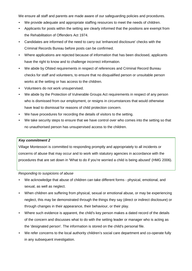We ensure all staff and parents are made aware of our safeguarding policies and procedures.

- We provide adequate and appropriate staffing resources to meet the needs of children.
- Applicants for posts within the setting are clearly informed that the positions are exempt from the Rehabilitation of Offenders Act 1974.
- Candidates are informed of the need to carry out 'enhanced disclosure' checks with the Criminal Records Bureau before posts can be confirmed.
- Where applications are rejected because of information that has been disclosed, applicants have the right to know and to challenge incorrect information.
- We abide by Ofsted requirements in respect of references and Criminal Record Bureau checks for staff and volunteers, to ensure that no disqualified person or unsuitable person works at the setting or has access to the children.
- Volunteers do not work unsupervised.
- We abide by the Protection of Vulnerable Groups Act requirements in respect of any person who is dismissed from our employment, or resigns in circumstances that would otherwise have lead to dismissal for reasons of child protection concern.
- We have procedures for recording the details of visitors to the setting.
- We take security steps to ensure that we have control over who comes into the setting so that no unauthorised person has unsupervised access to the children.

#### *Key commitment 2*

Village Montessori is committed to responding promptly and appropriately to all incidents or concerns of abuse that may occur and to work with statutory agencies in accordance with the procedures that are set down in 'What to do if you're worried a child is being abused' (HMG 2006).

*Responding to suspicions of abuse* 

- We acknowledge that abuse of children can take different forms physical, emotional, and sexual, as well as neglect.
- When children are suffering from physical, sexual or emotional abuse, or may be experiencing neglect, this may be demonstrated through the things they say (direct or indirect disclosure) or through changes in their appearance, their behaviour, or their play.
- Where such evidence is apparent, the child's key person makes a dated record of the details of the concern and discusses what to do with the setting leader or manager who is acting as the 'designated person'. The information is stored on the child's personal file.
- We refer concerns to the local authority children's social care department and co-operate fully in any subsequent investigation.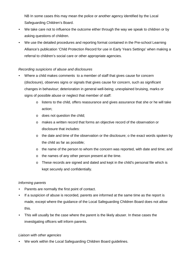NB In some cases this may mean the police or another agency identified by the Local Safeguarding Children's Board.

- We take care not to influence the outcome either through the way we speak to children or by asking questions of children.
- We use the detailed procedures and reporting format contained in the Pre-school Learning Alliance's publication 'Child Protection Record for use in Early Years Settings' when making a referral to children's social care or other appropriate agencies.

## *Recording suspicions of abuse and disclosures*

- Where a child makes comments to a member of staff that gives cause for concern (disclosure), observes signs or signals that gives cause for concern, such as significant changes in behaviour; deterioration in general well-being; unexplained bruising, marks or signs of possible abuse or neglect that member of staff:
	- o listens to the child, offers reassurance and gives assurance that she or he will take action;
	- o does not question the child;
	- o makes a written record that forms an objective record of the observation or disclosure that includes:
	- o the date and time of the observation or the disclosure; o the exact words spoken by the child as far as possible;
	- o the name of the person to whom the concern was reported, with date and time; and
	- o the names of any other person present at the time.
	- o These records are signed and dated and kept in the child's personal file which is kept securely and confidentially.

#### *Informing parents*

- Parents are normally the first point of contact.
- If a suspicion of abuse is recorded, parents are informed at the same time as the report is made, except where the guidance of the Local Safeguarding Children Board does not allow this.
- This will usually be the case where the parent is the likely abuser. In these cases the investigating officers will inform parents.

#### *Liaison with other agencies*

• We work within the Local Safeguarding Children Board guidelines.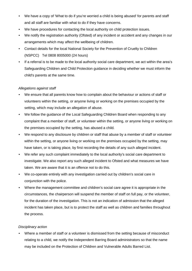- We have a copy of 'What to do if you're worried a child is being abused' for parents and staff and all staff are familiar with what to do if they have concerns.
- We have procedures for contacting the local authority on child protection issues.
- We notify the registration authority (Ofsted) of any incident or accident and any changes in our arrangements which may affect the wellbeing of children.
- Contact details for the local National Society for the Prevention of Cruelty to Children (NSPCC) Tel 0808 8005000 (24 hours)
- If a referral is to be made to the local authority social care department, we act within the area's Safeguarding Children and Child Protection guidance in deciding whether we must inform the child's parents at the same time.

## *Allegations against staff*

- We ensure that all parents know how to complain about the behaviour or actions of staff or volunteers within the setting, or anyone living or working on the premises occupied by the setting, which may include an allegation of abuse.
- We follow the guidance of the Local Safeguarding Children Board when responding to any complaint that a member of staff, or volunteer within the setting, or anyone living or working on the premises occupied by the setting, has abused a child.
- We respond to any disclosure by children or staff that abuse by a member of staff or volunteer within the setting, or anyone living or working on the premises occupied by the setting, may have taken, or is taking place, by first recording the details of any such alleged incident.
- We refer any such complaint immediately to the local authority's social care department to investigate. We also report any such alleged incident to Ofsted and what measures we have taken. We are aware that it is an offence not to do this.
- We co-operate entirely with any investigation carried out by children's social care in conjunction with the police.
- Where the management committee and children's social care agree it is appropriate in the circumstances, the chairperson will suspend the member of staff on full pay, or the volunteer, for the duration of the investigation. This is not an indication of admission that the alleged incident has taken place, but is to protect the staff as well as children and families throughout the process.

#### *Disciplinary action*

• Where a member of staff or a volunteer is dismissed from the setting because of misconduct relating to a child, we notify the Independent Barring Board administrators so that the name may be included on the Protection of Children and Vulnerable Adults Barred List.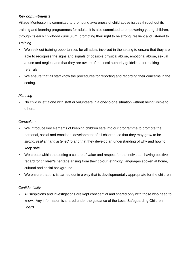## *Key commitment 3*

Village Montessori is committed to promoting awareness of child abuse issues throughout its training and learning programmes for adults. It is also committed to empowering young children, through its early childhood curriculum, promoting their right to be strong, resilient and listened to.

#### *Training*

- We seek out training opportunities for all adults involved in the setting to ensure that they are able to recognise the signs and signals of possible physical abuse, emotional abuse, sexual abuse and neglect and that they are aware of the local authority guidelines for making referrals.
- We ensure that all staff know the procedures for reporting and recording their concerns in the setting.

#### *Planning*

• No child is left alone with staff or volunteers in a one-to-one situation without being visible to others.

#### *Curriculum*

- We introduce key elements of keeping children safe into our programme to promote the personal, social and emotional development of all children, so that they may grow to be *strong, resilient and listened to* and that they develop an understanding of why and how to keep safe.
- We create within the setting a culture of value and respect for the individual, having positive regard for children's heritage arising from their colour, ethnicity, languages spoken at home, cultural and social background.
- We ensure that this is carried out in a way that is developmentally appropriate for the children.

#### *Confidentiality*

• All suspicions and investigations are kept confidential and shared only with those who need to know. Any information is shared under the guidance of the Local Safeguarding Children Board.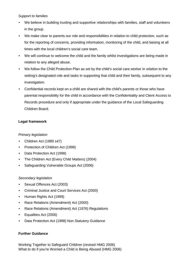#### *Support to families*

- We believe in building trusting and supportive relationships with families, staff and volunteers in the group.
- We make clear to parents our role and responsibilities in relation to child protection, such as for the reporting of concerns, providing information, monitoring of the child, and liaising at all times with the local children's social care team.
- We will continue to welcome the child and the family whilst investigations are being made in relation to any alleged abuse.
- We follow the Child Protection Plan as set by the child's social care worker in relation to the setting's designated role and tasks in supporting that child and their family, subsequent to any investigation.
- Confidential records kept on a child are shared with the child's parents or those who have parental responsibility for the child in accordance with the Confidentiality and Client Access to Records procedure and only if appropriate under the guidance of the Local Safeguarding Children Board.

#### **Legal framework**

#### *Primary legislation*

- Children Act (1989 s47)
- Protection of Children Act (1999)
- Data Protection Act (1998)
- The Children Act (Every Child Matters) (2004)
- Safeguarding Vulnerable Groups Act (2006)

#### *Secondary legislation*

- Sexual Offences Act (2003)
- Criminal Justice and Court Services Act (2000)
- Human Rights Act (1999)
- Race Relations (Amendment) Act (2000)
- Race Relations (Amendment) Act (1976) Regulations
- Equalities Act (2006)
- Data Protection Act (1998) Non Statutory Guidance

#### **Further Guidance**

Working Together to Safeguard Children (revised HMG 2006) What to do if you're Worried a Child is Being Abused (HMG 2006)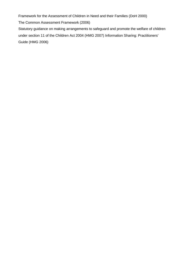Framework for the Assessment of Children in Need and their Families (DoH 2000) The Common Assessment Framework (2006) Statutory guidance on making arrangements to safeguard and promote the welfare of children under section 11 of the Children Act 2004 (HMG 2007) Information Sharing: Practitioners' Guide (HMG 2006)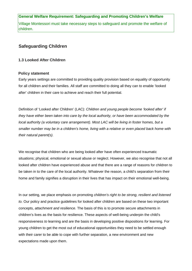Village Montessori must take necessary steps to safeguard and promote the welfare of children.

# **Safeguarding Children**

#### **1.3 Looked After Children**

#### **Policy statement**

Early years settings are committed to providing quality provision based on equality of opportunity for all children and their families. All staff are committed to doing all they can to enable 'looked after' children in their care to achieve and reach their full potential.

Definition of 'Looked after Children' (LAC): *Children and young people become 'looked after' if they have either been taken into care by the local authority, or have been accommodated by the local authority (a voluntary care arrangement). Most LAC will be living in foster homes, but a smaller number may be in a children's home, living with a relative or even placed back home with their natural parent(s).* 

We recognise that children who are being looked after have often experienced traumatic situations; physical, emotional or sexual abuse or neglect. However, we also recognise that not all looked after children have experienced abuse and that there are a range of reasons for children to be taken in to the care of the local authority. Whatever the reason, a child's separation from their home and family signifies a disruption in their lives that has impact on their emotional well-being.

In our setting, we place emphasis on promoting *children's right to be strong, resilient and listened to.* Our policy and practice guidelines for looked after children are based on these two important concepts, *attachment and resilience.* The basis of this is to promote secure attachments in children's lives as the basis for resilience. These aspects of well-being underpin the child's responsiveness *to* learning and are the basis in developing positive dispositions *for* learning. For young children to get the most out of educational opportunities they need to be settled enough with their carer to be able to cope with further separation, a new environment and new expectations made upon them.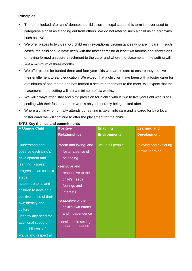#### **Principles**

- The term 'looked after child' denotes a child's current legal status; this term is never used to categorise a child as standing out from others. We do not refer to such a child using acronyms such as LAC.
- We offer places to two-year-old children in exceptional circumstances who are in care. In such cases, the child should have been with the foster carer for at least two months and show signs of having formed a secure attachment to the carer and where the placement in the setting will last a minimum of three months.
- We offer places for funded three and four-year-olds who are in care to ensure they receive their entitlement to early education. We expect that a child will have been with a foster carer for a minimum of one month and has formed a secure attachment to the carer. We expect that the placement in the setting will last a minimum of six weeks.
- We will always offer 'stay and play' provision for a child who is two to five years old who is still settling with their foster carer, or who is only temporarily being looked after.
- Where a child who normally attends our setting is taken into care and is cared for by a local foster carer we will continue to offer the placement for the child.

| <b>A Unique Child</b>   | <b>Positive</b>                            | <b>Enabling</b>     | <b>Learning and</b>    |
|-------------------------|--------------------------------------------|---------------------|------------------------|
|                         | <b>Relationships</b>                       | <b>Environments</b> | <b>Development</b>     |
|                         |                                            |                     |                        |
| -understand and         | -warm and loving, and                      | -value all people   | -playing and exploring |
| observe each child's    | foster a sense of                          |                     | -active learning       |
| development and         | belonging                                  |                     |                        |
| learning, assess        | -sensitive and                             |                     |                        |
| progress, plan for next | responsive to the                          |                     |                        |
| steps.                  | child's needs,                             |                     |                        |
| -support babies and     | feelings and                               |                     |                        |
| children to develop a   | <b>interests</b>                           |                     |                        |
| positive sense of their |                                            |                     |                        |
| own identity and        | -supportive of the                         |                     |                        |
| culture                 | child's own efforts                        |                     |                        |
| -identify any need for  | and independence                           |                     |                        |
| additional support -    | -consistent in setting<br>clear boundaries |                     |                        |
| keep children safe      |                                            |                     |                        |
| -value and respect all  |                                            |                     |                        |

# **EYFS Key themes and commitments**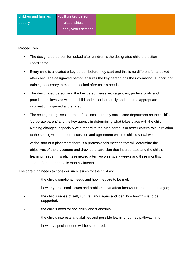#### **Procedures**

- The designated person for looked after children is the designated child protection coordinator.
- Every child is allocated a key person before they start and this is no different for a looked after child. The designated person ensures the key person has the information, support and training necessary to meet the looked after child's needs.
- The designated person and the key person liaise with agencies, professionals and practitioners involved with the child and his or her family and ensures appropriate information is gained and shared.
- The setting recognises the role of the local authority social care department as the child's 'corporate parent' and the key agency in determining what takes place with the child. Nothing changes, especially with regard to the birth parent's or foster carer's role in relation to the setting without prior discussion and agreement with the child's social worker.
- At the start of a placement there is a professionals meeting that will determine the objectives of the placement and draw up a care plan that incorporates and the child's learning needs. This plan is reviewed after two weeks, six weeks and three months. Thereafter at three to six monthly intervals.

The care plan needs to consider such issues for the child as:

- the child's emotional needs and how they are to be met;
- how any emotional issues and problems that affect behaviour are to be managed;
- the child's sense of self, culture, language/s and identity  $-$  how this is to be supported;
- the child's need for sociability and friendship;
- the child's interests and abilities and possible learning journey pathway; and
- how any special needs will be supported.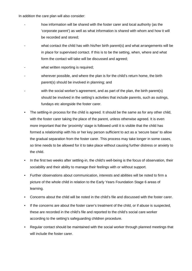In addition the care plan will also consider:

- how information will be shared with the foster carer and local authority (as the 'corporate parent') as well as what information is shared with whom and how it will be recorded and stored;
- what contact the child has with his/her birth parent(s) and what arrangements will be in place for supervised contact. If this is to be the setting, when, where and what form the contact will take will be discussed and agreed;
- what written reporting is required;
- wherever possible, and where the plan is for the child's return home, the birth parent(s) should be involved in planning; and
- with the social worker's agreement, and as part of the plan, the birth parent(s) should be involved in the setting's activities that include parents, such as outings, fundays etc alongside the foster carer.
- The settling-in process for the child is agreed. It should be the same as for any other child, with the foster carer taking the place of the parent, unless otherwise agreed. It is even more important that the 'proximity' stage is followed until it is visible that the child has formed a relationship with his or her key person sufficient to act as a 'secure base' to allow the gradual separation from the foster carer. This process may take longer in some cases, so time needs to be allowed for it to take place without causing further distress or anxiety to the child.
- In the first two weeks after settling-in, the child's well-being is the focus of observation, their sociability and their ability to manage their feelings with or without support.
- Further observations about communication, interests and abilities will be noted to firm a picture of the whole child in relation to the Early Years Foundation Stage 6 areas of learning.
- Concerns about the child will be noted in the child's file and discussed with the foster carer.
- If the concerns are about the foster carer's treatment of the child, or if abuse is suspected, these are recorded in the child's file and reported to the child's social care worker according to the setting's safeguarding children procedure.
- Regular contact should be maintained with the social worker through planned meetings that will include the foster carer.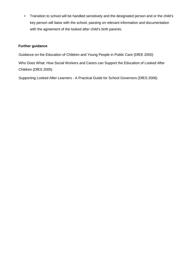• Transition to school will be handled sensitively and the designated person and or the child's key person will liaise with the school, passing on relevant information and documentation with the agreement of the looked after child's birth parents.

## **Further guidance**

Guidance on the Education of Children and Young People in Public Care (DfEE 2000)

Who Does What: How Social Workers and Carers can Support the Education of Looked After Children (DfES 2005)

Supporting Looked After Learners - A Practical Guide for School Governors (DfES 2006)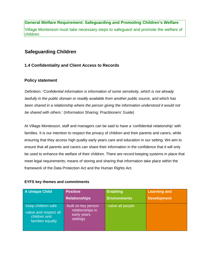# **General Welfare Requirement: Safeguarding and Promoting Children's Welfare**  Village Montessori must take necessary steps to safeguard and promote the welfare of children.

# **Safeguarding Children**

# **1.4 Confidentiality and Client Access to Records**

# **Policy statement**

Definition: **'***Confidential information is information of some sensitivity, which is not already lawfully in the public domain or readily available from another public source, and which has been shared in a relationship where the person giving the information understood it would not be shared with others*.' (Information Sharing: Practitioners' Guide)

At Village Montessori, staff and managers can be said to have a 'confidential relationship' with families. It is our intention to respect the privacy of children and their parents and carers, while ensuring that they access high quality early years care and education in our setting. We aim to ensure that all parents and carers can share their information in the confidence that it will only be used to enhance the welfare of their children. There are record keeping systems in place that meet legal requirements; means of storing and sharing that information take place within the framework of the Data Protection Act and the Human Rights Act.

#### **EYFS key themes and commitments**

| <b>A Unique Child</b>                                                             | <b>Positive</b>                                                     | <b>Enabling</b>     | <b>Learning and</b> |
|-----------------------------------------------------------------------------------|---------------------------------------------------------------------|---------------------|---------------------|
|                                                                                   | <b>Relationships</b>                                                | <b>Environments</b> | <b>Development</b>  |
| -keep children safe<br>-value and respect all<br>children and<br>families equally | -built on key person<br>relationships in<br>early years<br>settings | -value all people   |                     |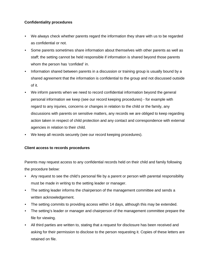#### **Confidentiality procedures**

- We always check whether parents regard the information they share with us to be regarded as confidential or not.
- Some parents sometimes share information about themselves with other parents as well as staff; the setting cannot be held responsible if information is shared beyond those parents whom the person has 'confided' in.
- Information shared between parents in a discussion or training group is usually bound by a shared agreement that the information is confidential to the group and not discussed outside of it.
- We inform parents when we need to record confidential information beyond the general personal information we keep (see our record keeping procedures) - for example with regard to any injuries, concerns or changes in relation to the child or the family, any discussions with parents on sensitive matters, any records we are obliged to keep regarding action taken in respect of child protection and any contact and correspondence with external agencies in relation to their child.
- We keep all records securely (see our record keeping procedures).

#### **Client access to records procedures**

Parents may request access to any confidential records held on their child and family following the procedure below:

- Any request to see the child's personal file by a parent or person with parental responsibility must be made in writing to the setting leader or manager.
- The setting leader informs the chairperson of the management committee and sends a written acknowledgement.
- The setting commits to providing access within 14 days, although this may be extended.
- The setting's leader or manager and chairperson of the management committee prepare the file for viewing.
- All third parties are written to, stating that a request for disclosure has been received and asking for their permission to disclose to the person requesting it. Copies of these letters are retained on file.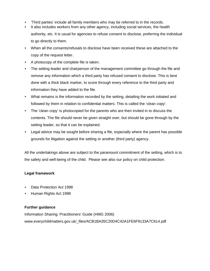- 'Third parties' include all family members who may be referred to in the records.
- It also includes workers from any other agency, including social services, the health

authority, etc. It is usual for agencies to refuse consent to disclose, preferring the individual to go directly to them.

- When all the consents/refusals to disclose have been received these are attached to the copy of the request letter.
- A photocopy of the complete file is taken.
- The setting leader and chairperson of the management committee go through the file and remove any information which a third party has refused consent to disclose. This is best done with a thick black marker, to score through every reference to the third party and information they have added to the file.
- What remains is the information recorded by the setting, detailing the work initiated and followed by them in relation to confidential matters. This is called the 'clean copy'.
- The 'clean copy' is photocopied for the parents who are then invited in to discuss the contents. The file should never be given straight over, but should be gone through by the setting leader, so that it can be explained.
- Legal advice may be sought before sharing a file, especially where the parent has possible grounds for litigation against the setting or another (third party) agency.

All the undertakings above are subject to the paramount commitment of the setting, which is to the safety and well-being of the child. Please see also our policy on child protection.

#### **Legal framework**

- Data Protection Act 1998
- Human Rights Act 1998

#### **Further guidance**

Information Sharing: Practitioners' Guide (HMG 2006) www.everychildmatters.gov.uk/\_files/ACB1BA35C20D4C42A1FE6F9133A7C614.pdf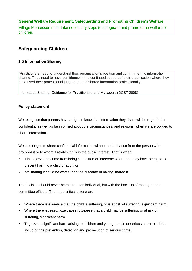Village Montessori must take necessary steps to safeguard and promote the welfare of children.

# **Safeguarding Children**

# **1.5 Information Sharing**

*"*Practitioners need to understand their organisation's position and commitment to information sharing. They need to have confidence in the continued support of their organisation where they have used their professional judgement and shared information professionally."

Information Sharing: Guidance for Practitioners and Managers (DCSF 2008)

#### **Policy statement**

We recognise that parents have a right to know that information they share will be regarded as confidential as well as be informed about the circumstances, and reasons, when we are obliged to share information.

We are obliged to share confidential information without authorisation from the person who provided it or to whom it relates if it is in the public interest. That is when:

- it is to prevent a crime from being committed or intervene where one may have been, or to prevent harm to a child or adult; or
- not sharing it could be worse than the outcome of having shared it.

The decision should never be made as an individual, but with the back-up of management committee officers. The three critical criteria are:

- Where there is *evidence* that the child is suffering, or is at risk of suffering, significant harm.
- Where there *is reasonable cause to believe* that a child may be suffering, or at risk of suffering, significant harm.
- To *prevent* significant harm arising to children and young people or serious harm to adults, including the prevention, detection and prosecution of serious crime.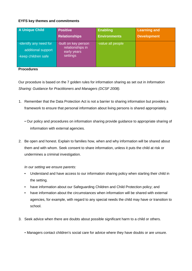## **EYFS key themes and commitments**

| A Unique Child                                                      | <b>Positive</b>                                                     | <b>Enabling</b>     | <b>Learning and</b> |
|---------------------------------------------------------------------|---------------------------------------------------------------------|---------------------|---------------------|
|                                                                     | <b>Relationships</b>                                                | <b>Environments</b> | <b>Development</b>  |
| -identify any need for<br>additional support<br>-keep children safe | -built on key person<br>relationships in<br>early years<br>settings | -value all people   |                     |

#### **Procedures**

Our procedure is based on the 7 golden rules for information sharing as set out in *Information Sharing: Guidance for Practitioners and Managers (DCSF 2008).* 

- 1. Remember that the Data Protection Act is not a barrier to sharing information but provides a framework to ensure that personal information about living persons is shared appropriately.
	- Our policy and procedures on information sharing provide guidance to appropriate sharing of information with external agencies.
- 2. Be open and honest. Explain to families how, when and why information will be shared about them and with whom. Seek consent to share information, unless it puts the child at risk or undermines a criminal investigation.

*In our setting we ensure parents:*

- Understand and have access to our information sharing policy when starting their child in the setting.
- have information about our Safeguarding Children and Child Protection policy; and
- have information about the circumstances when information will be shared with external agencies, for example, with regard to any special needs the child may have or transition to school.
- 3. Seek advice when there are doubts about possible significant harm to a child or others.
	- Managers contact children's social care for advice where they have doubts or are unsure.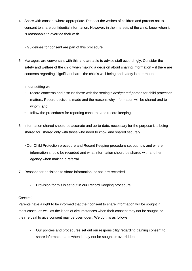- 4. Share with consent where appropriate. Respect the wishes of children and parents not to consent to share confidential information. However, in the interests of the child, know when it is reasonable to override their wish.
	- Guidelines for consent are part of this procedure.
- 5. Managers are conversant with this and are able to advise staff accordingly. Consider the safety and welfare of the child when making a decision about sharing information – if there are concerns regarding 'significant harm' the child's well being and safety is paramount.

In our setting we:

- record concerns and discuss these with the setting's *designated person* for child protection matters. Record decisions made and the reasons why information will be shared and to whom; and
- follow the procedures for reporting concerns and record keeping.
- 6. Information shared should be accurate and up-to-date, necessary for the purpose it is being shared for, shared only with those who need to know and shared securely.
	- Our Child Protection procedure and Record Keeping procedure set out how and where information should be recorded and what information should be shared with another agency when making a referral.
- 7. Reasons for decisions to share information, or not, are recorded.
	- Provision for this is set out in our Record Keeping procedure

#### *Consent*

Parents have a right to be informed that their consent to share information will be sought in most cases, as well as the kinds of circumstances when their consent may not be sought, or their refusal to give consent may be overridden. We do this as follows:

• Our policies and procedures set out our responsibility regarding gaining consent to share information and when it may not be sought or overridden.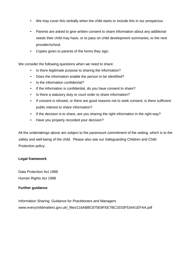- We may cover this verbally when the child starts or include this in our prospectus.
- Parents are asked to give written consent to share information about any additional needs their child may have, or to pass on child development summaries, to the next provider/school.
- Copies given to parents of the forms they sign.

We consider the following questions when we need to share:

- Is there legitimate purpose to sharing the information?
- Does the information enable the person to be identified?
- Is the information confidential?
- If the information is confidential, do you have consent to share?
- Is there a statutory duty or court order to share information?
- If consent is refused, or there are good reasons not to seek consent, is there sufficient public interest to share information?
- If the decision is to share, are you sharing the right information in the right way?
- Have you properly recorded your decision?

All the undertakings above are subject to the paramount commitment of the setting, which is to the safety and well-being of the child. Please also see our Safeguarding Children and Child Protection policy.

#### **Legal framework**

Data Protection Act 1998 Human Rights Act 1998

#### **Further guidance**

Information Sharing: Guidance for Practitioners and Managers www.everychildmatters.gov.uk/\_files/116ABBC875E8FEE7BC1E03F534A1EFAA.pdf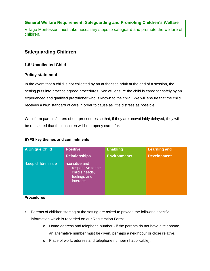# **General Welfare Requirement: Safeguarding and Promoting Children's Welfare**  Village Montessori must take necessary steps to safeguard and promote the welfare of children.

# **Safeguarding Children**

# **1.6 Uncollected Child**

## **Policy statement**

In the event that a child is not collected by an authorised adult at the end of a session, the setting puts into practice agreed procedures. We will ensure the child is cared for safely by an experienced and qualified practitioner who is known to the child. We will ensure that the child receives a high standard of care in order to cause as little distress as possible.

We inform parents/carers of our procedures so that, if they are unavoidably delayed, they will be reassured that their children will be properly cared for.

#### **EYFS key themes and commitments**

| <b>A Unique Child</b> | <b>Positive</b>                                                                           | <b>Enabling</b>     | <b>Learning and</b> |
|-----------------------|-------------------------------------------------------------------------------------------|---------------------|---------------------|
|                       | <b>Relationships</b>                                                                      | <b>Environments</b> | <b>Development</b>  |
| -keep children safe   | -sensitive and<br>responsive to the<br>child's needs,<br>feelings and<br><i>interests</i> |                     |                     |

**Procedures** 

- Parents of children starting at the setting are asked to provide the following specific information which is recorded on our Registration Form:
	- $\circ$  Home address and telephone number if the parents do not have a telephone, an alternative number must be given, perhaps a neighbour or close relative.
	- o Place of work, address and telephone number (if applicable).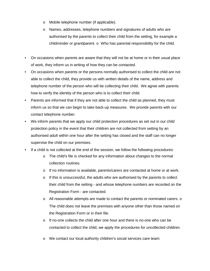- o Mobile telephone number (if applicable).
- o Names, addresses, telephone numbers and signatures of adults who are authorised by the parents to collect their child from the setting, for example a childminder or grandparent. o Who has parental responsibility for the child.
- On occasions when parents are aware that they will not be at home or in their usual place of work, they inform us in writing of how they can be contacted.
- On occasions when parents or the persons normally authorised to collect the child are not able to collect the child, they provide us with written details of the name, address and telephone number of the person who will be collecting their child. We agree with parents how to verify the identity of the person who is to collect their child.
- Parents are informed that if they are not able to collect the child as planned, they must inform us so that we can begin to take back-up measures. We provide parents with our contact telephone number.
- We inform parents that we apply our child protection procedures as set out in our child protection policy in the event that their children are not collected from setting by an authorised adult within one hour after the setting has closed and the staff can no longer supervise the child on our premises.
- If a child is not collected at the end of the session, we follow the following procedures:
	- o The child's file is checked for any information about changes to the normal collection routines.
	- o If no information is available, parents/carers are contacted at home or at work.
	- $\circ$  If this is unsuccessful, the adults who are authorised by the parents to collect their child from the setting - and whose telephone numbers are recorded on the Registration Form - are contacted.
	- $\circ$  All reasonable attempts are made to contact the parents or nominated carers.  $\circ$ The child does not leave the premises with anyone other than those named on the Registration Form or in their file.
	- o If no-one collects the child after one hour and there is no-one who can be contacted to collect the child, we apply the procedures for uncollected children.
	- o We contact our local authority children's social services care team: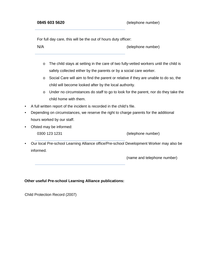**0845 603 5620** (telephone number)

For full day care, this will be the out of hours duty officer:

N/A (telephone number)

- o The child stays at setting in the care of two fully-vetted workers until the child is safely collected either by the parents or by a social care worker.
- o Social Care will aim to find the parent or relative if they are unable to do so, the child will become looked after by the local authority.
- o Under no circumstances do staff to go to look for the parent, nor do they take the child home with them.
- A full written report of the incident is recorded in the child's file.
- Depending on circumstances, we reserve the right to charge parents for the additional hours worked by our staff.
- Ofsted may be informed:
	-

0300 123 1231 (telephone number)

• Our local Pre-school Learning Alliance office/Pre-school Development Worker may also be informed.

(name and telephone number)

#### **Other useful Pre-school Learning Alliance publications:**

Child Protection Record (2007)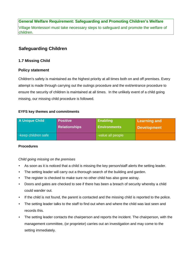Village Montessori must take necessary steps to safeguard and promote the welfare of children.

# **Safeguarding Children**

## **1.7 Missing Child**

#### **Policy statement**

Children's safety is maintained as the highest priority at all times both on and off premises. Every attempt is made through carrying out the outings procedure and the exit/entrance procedure to ensure the security of children is maintained at all times. In the unlikely event of a child going missing, our missing child procedure is followed.

#### **EYFS key themes and commitments**

| <b>A Unique Child</b> | <b>Positive</b>      | <b>Enabling</b>     | Learning and |
|-----------------------|----------------------|---------------------|--------------|
|                       | <b>Relationships</b> | <b>Environments</b> | Development  |
| -keep children safe   |                      | -value all people   |              |

#### **Procedures**

#### *Child going missing on the premises*

- As soon as it is noticed that a child is missing the key person/staff alerts the setting leader.
- The setting leader will carry out a thorough search of the building and garden.
- The register is checked to make sure no other child has also gone astray.
- Doors and gates are checked to see if there has been a breach of security whereby a child could wander out.
- If the child is not found, the parent is contacted and the missing child is reported to the police.
- The setting leader talks to the staff to find out when and where the child was last seen and records this.
- The setting leader contacts the chairperson and reports the incident. The chairperson, with the management committee, (or proprietor) carries out an investigation and may come to the setting immediately.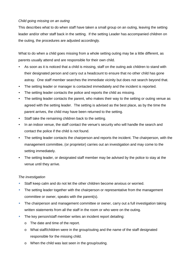#### *Child going missing on an outing*

This describes what to do when staff have taken a small group on an outing, leaving the setting leader and/or other staff back in the setting. If the setting Leader has accompanied children on the outing, the procedures are adjusted accordingly.

What to do when a child goes missing from a whole setting outing may be a little different, as parents usually attend and are responsible for their own child.

- As soon as it is noticed that a child is missing, staff on the outing ask children to stand with their designated person and carry out a headcount to ensure that no other child has gone astray. One staff member searches the immediate vicinity but does not search beyond that.
- The setting leader or manager is contacted immediately and the incident is reported.
- The setting leader contacts the police and reports the child as missing.
- The setting leader contacts the parent, who makes their way to the setting or outing venue as agreed with the setting leader. The setting is advised as the best place, as by the time the parent arrives, the child may have been returned to the setting.
- Staff take the remaining children back to the setting.
- In an indoor venue, the staff contact the venue's security who will handle the search and contact the police if the child is not found.
- The setting leader contacts the chairperson and reports the incident. The chairperson, with the management committee, (or proprietor) carries out an investigation and may come to the setting immediately.
- The setting leader, or designated staff member may be advised by the police to stay at the venue until they arrive.

#### *The investigation*

- Staff keep calm and do not let the other children become anxious or worried.
- The setting leader together with the chairperson or representative from the management committee or owner, speaks with the parent(s).
- **The chairperson and management committee or owner, carry out a full investigation taking** written statements from all the staff in the room or who were on the outing.
- The key person/staff member writes an incident report detailing:
	- o The date and time of the report.
	- o What staff/children were in the group/outing and the name of the staff designated responsible for the missing child.
	- o When the child was last seen in the group/outing.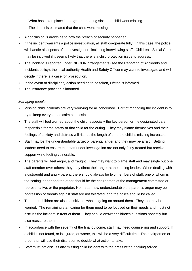- o What has taken place in the group or outing since the child went missing.
- o The time it is estimated that the child went missing.
- A conclusion is drawn as to how the breach of security happened.
- If the incident warrants a police investigation, all staff co-operate fully. In this case, the police will handle all aspects of the investigation, including interviewing staff. Children's Social Care may be involved if it seems likely that there is a child protection issue to address.
- The incident is reported under RIDDOR arrangements (see the Reporting of Accidents and Incidents policy); the local authority Health and Safety Officer may want to investigate and will decide if there is a case for prosecution.
- In the event of disciplinary action needing to be taken, Ofsted is informed.
- The insurance provider is informed.

#### *Managing people*

- Missing child incidents are very worrying for all concerned. Part of managing the incident is to try to keep everyone as calm as possible.
- The staff will feel worried about the child, especially the key person or the designated carer responsible for the safety of that child for the outing. They may blame themselves and their feelings of anxiety and distress will rise as the length of time the child is missing increases.
- Staff may be the understandable target of parental anger and they may be afraid. Setting leaders need to ensure that staff under investigation are not only fairly treated but receive support while feeling vulnerable.
- The parents will feel angry, and fraught. They may want to blame staff and may single out one staff member over others; they may direct their anger at the setting leader. When dealing with a distraught and angry parent, there should always be two members of staff, one of whom is the setting leader and the other should be the chairperson of the management committee or representative, or the proprietor. No matter how understandable the parent's anger may be, aggression or threats against staff are not tolerated, and the police should be called.
- The other children are also sensitive to what is going on around them. They too may be worried. The remaining staff caring for them need to be focused on their needs and must not discuss the incident in front of them. They should answer children's questions honestly but also reassure them.
- In accordance with the severity of the final outcome, staff may need counselling and support. If a child is not found, or is injured, or worse, this will be a very difficult time. The chairperson or proprietor will use their discretion to decide what action to take.
- Staff must not discuss any missing child incident with the press without taking advice.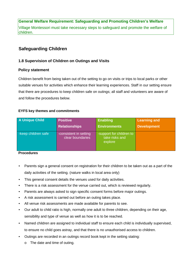Village Montessori must take necessary steps to safeguard and promote the welfare of children.

# **Safeguarding Children**

#### **1.8 Supervision of Children on Outings and Visits**

#### **Policy statement**

Children benefit from being taken out of the setting to go on visits or trips to local parks or other suitable venues for activities which enhance their learning experiences. Staff in our setting ensure that there are procedures to keep children safe on outings; all staff and volunteers are aware of and follow the procedures below.

## **EYFS key themes and commitments**

| <b>A Unique Child</b>    | <b>Positive</b>                            | <b>Enabling</b>                                       | <b>Learning and</b> |
|--------------------------|--------------------------------------------|-------------------------------------------------------|---------------------|
|                          | <b>Relationships</b>                       | <b>Environments</b>                                   | <b>Development</b>  |
| -keep children safe      | -consistent in setting<br>clear boundaries | -support for children to<br>take risks and<br>explore |                     |
| $\overline{\phantom{a}}$ |                                            |                                                       |                     |

#### **Procedures**

- Parents sign a general consent on registration for their children to be taken out as a part of the daily activities of the setting. (nature walks in local area only)
- This general consent details the venues used for daily activities.
- There is a risk assessment for the venue carried out, which is reviewed regularly.
- Parents are always asked to sign specific consent forms before major outings.
- A risk assessment is carried out before an outing takes place.
- All venue risk assessments are made available for parents to see.
- Our adult to child ratio is high, normally one adult to three children, depending on their age, sensibility and type of venue as well as how it is to be reached.
- Named children are assigned to individual staff to ensure each child is individually supervised, to ensure no child goes astray, and that there is no unauthorised access to children.
- Outings are recorded in an outings record book kept in the setting stating:
	- o The date and time of outing.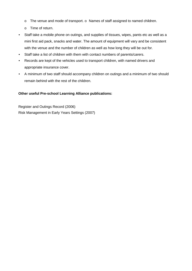- o The venue and mode of transport. o Names of staff assigned to named children.
- o Time of return.
- Staff take a mobile phone on outings, and supplies of tissues, wipes, pants etc as well as a mini first aid pack, snacks and water. The amount of equipment will vary and be consistent with the venue and the number of children as well as how long they will be out for.
- Staff take a list of children with them with contact numbers of parents/carers.
- Records are kept of the vehicles used to transport children, with named drivers and appropriate insurance cover.
- A minimum of two staff should accompany children on outings and a minimum of two should remain behind with the rest of the children.

## **Other useful Pre-school Learning Alliance publications:**

Register and Outings Record (2006) Risk Management in Early Years Settings (2007)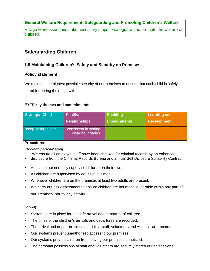Village Montessori must take necessary steps to safeguard and promote the welfare of children.

# **Safeguarding Children**

# **1.9 Maintaining Children's Safety and Security on Premises**

## **Policy statement**

We maintain the highest possible security of our premises to ensure that each child is safely cared for during their time with us.

## **EYFS key themes and commitments**

| A Unique Child      | <b>Positive</b>                            | <b>Enabling</b>     | <b>Learning and</b> |
|---------------------|--------------------------------------------|---------------------|---------------------|
|                     | <b>Relationships</b>                       | <b>Environments</b> | <b>Development</b>  |
| -keep children safe | -consistent in setting<br>clear boundaries |                     |                     |

#### **Procedures**

#### *Children's personal safety*

We ensure all employed staff have been checked for criminal records by an enhanced

- disclosure from the Criminal Records Bureau and annual Self Diclosure Suitability Contract.
- Adults do not normally supervise children on their own.
- All children are supervised by adults at all times.
- Whenever children are on the premises at least two adults are present.
- We carry out risk assessment to ensure children are not made vulnerable within any part of our premises, nor by any activity.

#### *Security*

- Systems are in place for the safe arrival and departure of children.
- The times of the children's arrivals and departures are recorded.
- The arrival and departure times of adults staff, volunteers and visitors are recorded.
- Our systems prevent unauthorised access to our premises.
- Our systems prevent children from leaving our premises unnoticed.
- The personal possessions of staff and volunteers are securely stored during sessions.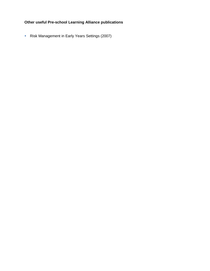# **Other useful Pre-school Learning Alliance publications**

**Risk Management in Early Years Settings (2007)**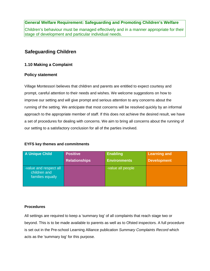Children's behaviour must be managed effectively and in a manner appropriate for their stage of development and particular individual needs.

# **Safeguarding Children**

## **1.10 Making a Complaint**

#### **Policy statement**

Village Montessori believes that children and parents are entitled to expect courtesy and prompt, careful attention to their needs and wishes. We welcome suggestions on how to improve our setting and will give prompt and serious attention to any concerns about the running of the setting. We anticipate that most concerns will be resolved quickly by an informal approach to the appropriate member of staff. If this does not achieve the desired result, we have a set of procedures for dealing with concerns. We aim to bring all concerns about the running of our setting to a satisfactory conclusion for all of the parties involved.

#### **EYFS key themes and commitments**

| A Unique Child                                             | <b>Positive</b>      | <b>Enabling</b>     | <b>Learning and</b> |
|------------------------------------------------------------|----------------------|---------------------|---------------------|
|                                                            | <b>Relationships</b> | <b>Environments</b> | <b>Development</b>  |
| -value and respect all<br>children and<br>families equally |                      | -value all people   |                     |

#### **Procedures**

All settings are required to keep a 'summary log' of all complaints that reach stage two or beyond. This is to be made available to parents as well as to Ofsted inspectors. A full procedure is set out in the Pre-school Learning Alliance publication *Summary Complaints Record* which acts as the 'summary log' for this purpose.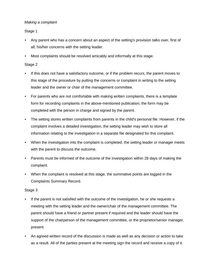### *Making a complaint*

Stage 1

- Any parent who has a concern about an aspect of the setting's provision talks over, first of all, his/her concerns with the setting leader.
- Most complaints should be resolved amicably and informally at this stage.

### Stage 2

- If this does not have a satisfactory outcome, or if the problem recurs, the parent moves to this stage of the procedure by putting the concerns or complaint in writing to the setting leader and the owner or chair of the management committee.
- For parents who are not comfortable with making written complaints, there is a template form for recording complaints in the above-mentioned publication; the form may be completed with the person in charge and signed by the parent.
- The setting stores written complaints from parents in the child's personal file. However, if the complaint involves a detailed investigation, the setting leader may wish to store all information relating to the investigation in a separate file designated for this complaint.
- When the investigation into the complaint is completed, the setting leader or manager meets with the parent to discuss the outcome.
- Parents must be informed of the outcome of the investigation within 28 days of making the complaint.
- When the complaint is resolved at this stage, the summative points are logged in the Complaints Summary Record.

# Stage 3

- If the parent is not satisfied with the outcome of the investigation, he or she requests a meeting with the setting leader and the owner/chair of the management committee. The parent should have a friend or partner present if required and the leader should have the support of the chairperson of the management committee, or the proprietor/senior manager, present.
- An agreed written record of the discussion is made as well as any decision or action to take as a result. All of the parties present at the meeting sign the record and receive a copy of it.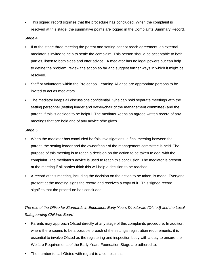• This signed record signifies that the procedure has concluded. When the complaint is resolved at this stage, the summative points are logged in the Complaints Summary Record.

#### Stage 4

- If at the stage three meeting the parent and setting cannot reach agreement, an external mediator is invited to help to settle the complaint. This person should be acceptable to both parties, listen to both sides and offer advice. A mediator has no legal powers but can help to define the problem, review the action so far and suggest further ways in which it might be resolved.
- Staff or volunteers within the Pre-school Learning Alliance are appropriate persons to be invited to act as mediators.
- The mediator keeps all discussions confidential. S/he can hold separate meetings with the setting personnel (setting leader and owner/chair of the management committee) and the parent, if this is decided to be helpful. The mediator keeps an agreed written record of any meetings that are held and of any advice s/he gives.

#### Stage 5

- When the mediator has concluded her/his investigations, a final meeting between the parent, the setting leader and the owner/chair of the management committee is held. The purpose of this meeting is to reach a decision on the action to be taken to deal with the complaint. The mediator's advice is used to reach this conclusion. The mediator is present at the meeting if all parties think this will help a decision to be reached.
- A record of this meeting, including the decision on the action to be taken, is made. Everyone present at the meeting signs the record and receives a copy of it. This signed record signifies that the procedure has concluded.

# *The role of the Office for Standards in Education, Early Years Directorate (Ofsted) and the Local Safeguarding Children Board*

- Parents may approach Ofsted directly at any stage of this complaints procedure. In addition, where there seems to be a possible breach of the setting's registration requirements, it is essential to involve Ofsted as the registering and inspection body with a duty to ensure the Welfare Requirements of the Early Years Foundation Stage are adhered to.
- The number to call Ofsted with regard to a complaint is: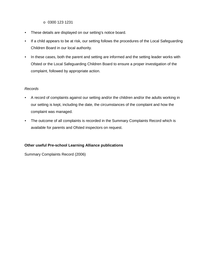- o 0300 123 1231
- These details are displayed on our setting's notice board.
- If a child appears to be at risk, our setting follows the procedures of the Local Safeguarding Children Board in our local authority.
- In these cases, both the parent and setting are informed and the setting leader works with Ofsted or the Local Safeguarding Children Board to ensure a proper investigation of the complaint, followed by appropriate action.

#### *Records*

- A record of complaints against our setting and/or the children and/or the adults working in our setting is kept, including the date, the circumstances of the complaint and how the complaint was managed.
- The outcome of all complaints is recorded in the Summary Complaints Record which is available for parents and Ofsted inspectors on request.

#### **Other useful Pre-school Learning Alliance publications**

Summary Complaints Record (2006)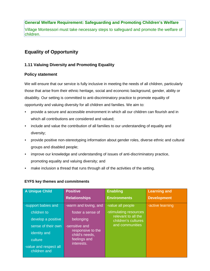Village Montessori must take necessary steps to safeguard and promote the welfare of children.

# **Equality of Opportunity**

# **1.11 Valuing Diversity and Promoting Equality**

# **Policy statement**

We will ensure that our service is fully inclusive in meeting the needs of all children, particularly those that arise from their ethnic heritage, social and economic background, gender, ability or disability. Our setting is committed to anti-discriminatory practice to promote equality of opportunity and valuing diversity for all children and families. We aim to:

- provide a secure and accessible environment in which all our children can flourish and in which all contributions are considered and valued;
- include and value the contribution of all families to our understanding of equality and diversity;
- provide positive non-stereotyping information about gender roles, diverse ethnic and cultural groups and disabled people;
- improve our knowledge and understanding of issues of anti-discriminatory practice, promoting equality and valuing diversity; and
- make inclusion a thread that runs through all of the activities of the setting.

| A Unique Child                         | <b>Positive</b>                     | <b>Enabling</b>                            | <b>Learning and</b> |
|----------------------------------------|-------------------------------------|--------------------------------------------|---------------------|
|                                        | <b>Relationships</b>                | <b>Environments</b>                        | <b>Development</b>  |
| -support babies and                    | -warm and loving, and               | -value all people                          | -active learning    |
| children to                            | foster a sense of                   | -stimulating resources                     |                     |
| develop a positive                     | belonging                           | relevant to all the<br>children's cultures |                     |
| sense of their own                     | -sensitive and                      | and communities                            |                     |
| identity and                           | responsive to the<br>child's needs, |                                            |                     |
| culture                                | feelings and                        |                                            |                     |
| -value and respect all<br>children and | interests.                          |                                            |                     |

# **EYFS key themes and commitments**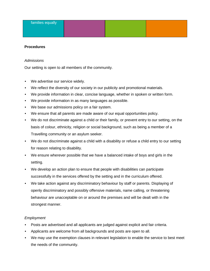#### **Procedures**

#### *Admissions*

Our setting is open to all members of the community.

- We advertise our service widely.
- We reflect the diversity of our society in our publicity and promotional materials.
- We provide information in clear, concise language, whether in spoken or written form.
- We provide information in as many languages as possible.
- We base our admissions policy on a fair system.
- We ensure that all parents are made aware of our equal opportunities policy.
- We do not discriminate against a child or their family, or prevent entry to our setting, on the basis of colour, ethnicity, religion or social background, such as being a member of a Travelling community or an asylum seeker.
- We do not discriminate against a child with a disability or refuse a child entry to our setting for reason relating to disability.
- We ensure wherever possible that we have a balanced intake of boys and girls in the setting.
- We develop an action plan to ensure that people with disabilities can participate successfully in the services offered by the setting and in the curriculum offered.
- We take action against any discriminatory behaviour by staff or parents. Displaying of openly discriminatory and possibly offensive materials, name calling, or threatening behaviour are unacceptable on or around the premises and will be dealt with in the strongest manner.

#### *Employment*

- Posts are advertised and all applicants are judged against explicit and fair criteria.
- Applicants are welcome from all backgrounds and posts are open to all.
- We may use the exemption clauses in relevant legislation to enable the service to best meet the needs of the community.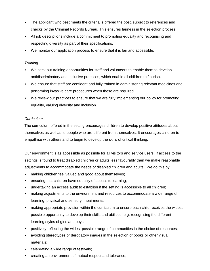- The applicant who best meets the criteria is offered the post, subject to references and checks by the Criminal Records Bureau. This ensures fairness in the selection process.
- All job descriptions include a commitment to promoting equality and recognising and respecting diversity as part of their specifications.
- We monitor our application process to ensure that it is fair and accessible.

#### *Training*

- We seek out training opportunities for staff and volunteers to enable them to develop antidiscriminatory and inclusive practices, which enable all children to flourish.
- We ensure that staff are confident and fully trained in administering relevant medicines and performing invasive care procedures when these are required.
- We review our practices to ensure that we are fully implementing our policy for promoting equality, valuing diversity and inclusion.

#### *Curriculum*

The curriculum offered in the setting encourages children to develop positive attitudes about themselves as well as to people who are different from themselves. It encourages children to empathise with others and to begin to develop the skills of critical thinking.

Our environment is as accessible as possible for all visitors and service users. If access to the settings is found to treat disabled children or adults less favourably then we make reasonable adjustments to accommodate the needs of disabled children and adults. We do this by:

- making children feel valued and good about themselves;
- ensuring that children have equality of access to learning;
- undertaking an access audit to establish if the setting is accessible to all children;
- making adjustments to the environment and resources to accommodate a wide range of learning, physical and sensory impairments;
- making appropriate provision within the curriculum to ensure each child receives the widest possible opportunity to develop their skills and abilities, e.g. recognising the different learning styles of girls and boys;
- positively reflecting the widest possible range of communities in the choice of resources;
- avoiding stereotypes or derogatory images in the selection of books or other visual materials;
- celebrating a wide range of festivals;
- creating an environment of mutual respect and tolerance;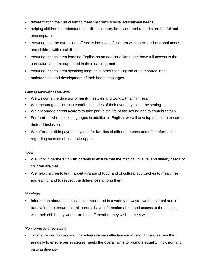- differentiating the curriculum to meet children's special educational needs;
- helping children to understand that discriminatory behaviour and remarks are hurtful and unacceptable;
- ensuring that the curriculum offered is inclusive of children with special educational needs and children with disabilities;
- ensuring that children learning English as an additional language have full access to the curriculum and are supported in their learning; and
- ensuring that children speaking languages other than English are supported in the maintenance and development of their home languages.

#### *Valuing diversity in families*

- We welcome the diversity of family lifestyles and work with all families.
- We encourage children to contribute stories of their everyday life to the setting.
- We encourage parents/carers to take part in the life of the setting and to contribute fully.
- For families who speak languages in addition to English, we will develop means to ensure their full inclusion.
- We offer a flexible payment system for families of differing means and offer information regarding sources of financial support.

#### *Food*

- We work in partnership with parents to ensure that the medical, cultural and dietary needs of children are met.
- We help children to learn about a range of food, and of cultural approaches to mealtimes and eating, and to respect the differences among them.

#### *Meetings*

• Information about meetings is communicated in a variety of ways - written, verbal and in translation - to ensure that all parents have information about and access to the meetings with their child's key worker or the staff member they wish to meet with.

#### *Monitoring and reviewing*

• To ensure our policies and procedures remain effective we will monitor and review them annually to ensure our strategies meets the overall aims to promote equality, inclusion and valuing diversity.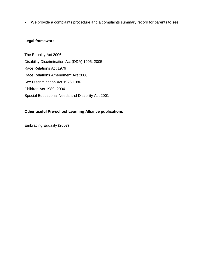• We provide a complaints procedure and a complaints summary record for parents to see.

### **Legal framework**

The Equality Act 2006 Disability Discrimination Act (DDA) 1995, 2005 Race Relations Act 1976 Race Relations Amendment Act 2000 Sex Discrimination Act 1976,1986 Children Act 1989, 2004 Special Educational Needs and Disability Act 2001

# **Other useful Pre-school Learning Alliance publications**

Embracing Equality (2007)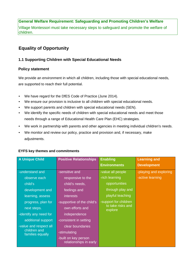Village Montessori must take necessary steps to safeguard and promote the welfare of children.

# **Equality of Opportunity**

# **1.1 Supporting Children with Special Educational Needs**

# **Policy statement**

We provide an environment in which all children, including those with special educational needs, are supported to reach their full potential.

- We have regard for the DfES Code of Practice (June 2014).
- We ensure our provision is inclusive to all children with special educational needs.
- We support parents and children with special educational needs (SEN).
- We identify the specific needs of children with special educational needs and meet those needs through a range of Educational Health Care Plan (EHC) strategies.
- We work in partnership with parents and other agencies in meeting individual children's needs.
- We monitor and review our policy, practice and provision and, if necessary, make adjustments.

| <b>A Unique Child</b>            | <b>Positive Relationships</b>                  | <b>Enabling</b>              | <b>Learning and</b>    |
|----------------------------------|------------------------------------------------|------------------------------|------------------------|
|                                  |                                                | <b>Environments</b>          | <b>Development</b>     |
| -understand and                  | -sensitive and                                 | -value all people            | -playing and exploring |
| observe each                     | responsive to the                              | -rich learning               | -active learning       |
| child's                          | child's needs,                                 | opportunities                |                        |
| development and                  | feelings and                                   | through play and             |                        |
| learning, assess                 | <i>interests</i>                               | playful teaching             |                        |
| progress, plan for               | -supportive of the child's                     | -support for children        |                        |
| next steps.                      | own efforts and                                | to take risks and<br>explore |                        |
| -identify any need for           | independence                                   |                              |                        |
| additional support               | -consistent in setting                         |                              |                        |
| -value and respect all           | clear boundaries                               |                              |                        |
| children and<br>families equally | -stimulating                                   |                              |                        |
|                                  | -built on key person<br>relationships in early |                              |                        |

# **EYFS key themes and commitments**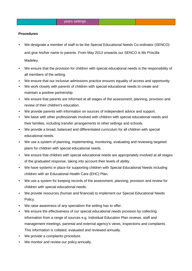#### **Procedures**

- We designate a member of staff to be the Special Educational Needs Co-ordinator (SENCO) and give his/her name to parents. From May 2013 onwards our SENCO is Ms Priscilla Madeley.
- We ensure that the provision for children with special educational needs is the responsibility of all members of the setting.
- We ensure that our inclusive admissions practice ensures equality of access and opportunity.
- We work closely with parents of children with special educational needs to create and maintain a positive partnership.
- We ensure that parents are informed at all stages of the assessment, planning, provision and review of their children's education.
- We provide parents with information on sources of independent advice and support.
- We liaise with other professionals involved with children with special educational needs and their families, including transfer arrangements to other settings and schools.
- We provide a broad, balanced and differentiated curriculum for all children with special educational needs.
- We use a system of planning, implementing, monitoring, evaluating and reviewing targeted plans for children with special educational needs.
- We ensure that children with special educational needs are appropriately involved at all stages of the graduated response, taking into account their levels of ability.
- We have systems in place for supporting children with Special Educational Needs including children with an Educational Health Care (EHC) Plan.
- We use a system for keeping records of the assessment, planning, provision and review for children with special educational needs.
- We provide resources (human and financial) to implement our Special Educational Needs Policy.
- We raise awareness of any specialism the setting has to offer.
- We ensure the effectiveness of our special educational needs provision by collecting information from a range of sources e.g. Individual Education Plan reviews, staff and management meetings, parental and external agency's views, inspections and complaints. This information is collated, evaluated and reviewed annually.
- We provide a complaints procedure.
- We monitor and review our policy annually.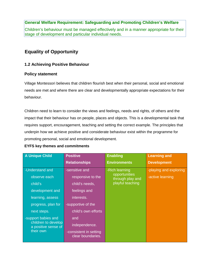Children's behaviour must be managed effectively and in a manner appropriate for their stage of development and particular individual needs.

# **Equality of Opportunity**

# **1.2 Achieving Positive Behaviour**

# **Policy statement**

Village Montessori believes that children flourish best when their personal, social and emotional needs are met and where there are clear and developmentally appropriate expectations for their behaviour.

Children need to learn to consider the views and feelings, needs and rights, of others and the impact that their behaviour has on people, places and objects. This is a developmental task that requires support, encouragement, teaching and setting the correct example. The principles that underpin how we achieve positive and considerate behaviour exist within the programme for promoting personal, social and emotional development.

# **EYFS key themes and commitments**

| <b>Positive</b>                             | <b>Enabling</b>     | <b>Learning and</b>               |
|---------------------------------------------|---------------------|-----------------------------------|
| <b>Relationships</b>                        | <b>Environments</b> | <b>Development</b>                |
| -sensitive and                              | -Rich learning      | -playing and exploring            |
| responsive to the                           |                     | -active learning                  |
| child's needs,                              | playful teaching    |                                   |
| feelings and                                |                     |                                   |
| interests.                                  |                     |                                   |
| -supportive of the                          |                     |                                   |
| child's own efforts                         |                     |                                   |
| and                                         |                     |                                   |
| independence.                               |                     |                                   |
| -consistent in setting<br>clear boundaries. |                     |                                   |
|                                             |                     | opportunities<br>through play and |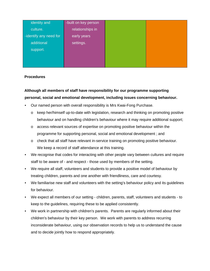| identity and           | -built on key person |  |
|------------------------|----------------------|--|
| culture.               | relationships in     |  |
| -identify any need for | early years          |  |
| additional             | settings.            |  |
| support.               |                      |  |
|                        |                      |  |
|                        |                      |  |

#### **Procedures**

# **Although all members of staff have responsibility for our programme supporting personal, social and emotional development, including issues concerning behaviour.**

- Our named person with overall responsibility is Mrs Kwai-Fong Purchase.
	- o keep her/himself up-to-date with legislation, research and thinking on promoting positive behaviour and on handling children's behaviour where it may require additional support;
	- $\circ$  access relevant sources of expertise on promoting positive behaviour within the programme for supporting personal, social and emotional development ; and
	- o check that all staff have relevant in-service training on promoting positive behaviour. We keep a record of staff attendance at this training.
- We recognise that codes for interacting with other people vary between cultures and require staff to be aware of - and respect - those used by members of the setting.
- We require all staff, volunteers and students to provide a positive model of behaviour by treating children, parents and one another with friendliness, care and courtesy.
- We familiarise new staff and volunteers with the setting's behaviour policy and its guidelines for behaviour.
- We expect all members of our setting children, parents, staff, volunteers and students to keep to the guidelines, requiring these to be applied consistently.
- We work in partnership with children's parents. Parents are regularly informed about their children's behaviour by their key person. We work with parents to address recurring inconsiderate behaviour, using our observation records to help us to understand the cause and to decide jointly how to respond appropriately.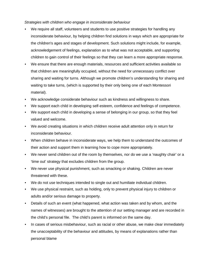*Strategies with children who engage in inconsiderate behaviour*

- We require all staff, volunteers and students to use positive strategies for handling any inconsiderate behaviour, by helping children find solutions in ways which are appropriate for the children's ages and stages of development. Such solutions might include, for example, acknowledgement of feelings, explanation as to what was not acceptable, and supporting children to gain control of their feelings so that they can learn a more appropriate response.
- We ensure that there are enough materials, resources and sufficient activities available so that children are meaningfully occupied, without the need for unnecessary conflict over sharing and waiting for turns. Although we promote children's understanding for sharing and waiting to take turns, (which is supported by their only being one of each Montessori material).
- We acknowledge considerate behaviour such as kindness and willingness to share.
- We support each child in developing self-esteem, confidence and feelings of competence.
- We support each child in developing a sense of belonging in our group, so that they feel valued and welcome.
- We avoid creating situations in which children receive adult attention only in return for inconsiderate behaviour.
- When children behave in inconsiderate ways, we help them to understand the outcomes of their action and support them in learning how to cope more appropriately.
- We never send children out of the room by themselves, nor do we use a 'naughty chair' or a 'time out' strategy that excludes children from the group.
- We never use physical punishment, such as smacking or shaking. Children are never threatened with these.
- We do not use techniques intended to single out and humiliate individual children.
- We use physical restraint, such as holding, only to prevent physical injury to children or adults and/or serious damage to property.
- Details of such an event (what happened, what action was taken and by whom, and the names of witnesses) are brought to the attention of our setting manager and are recorded in the child's personal file. The child's parent is informed on the same day.
- In cases of serious misbehaviour, such as racial or other abuse, we make clear immediately the unacceptability of the behaviour and attitudes, by means of explanations rather than personal blame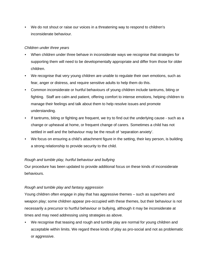• We do not shout or raise our voices in a threatening way to respond to children's inconsiderate behaviour.

### *Children under three years*

- When children under three behave in inconsiderate ways we recognise that strategies for supporting them will need to be developmentally appropriate and differ from those for older children.
- We recognise that very young children are unable to regulate their own emotions, such as fear, anger or distress, and require sensitive adults to help them do this.
- Common inconsiderate or hurtful behaviours of young children include tantrums, biting or fighting. Staff are calm and patient, offering comfort to intense emotions, helping children to manage their feelings and talk about them to help resolve issues and promote understanding.
- If tantrums, biting or fighting are frequent, we try to find out the underlying cause such as a change or upheaval at home, or frequent change of carers. Sometimes a child has not settled in well and the behaviour may be the result of 'separation anxiety'.
- We focus on ensuring a child's attachment figure in the setting, their key person, is building a strong relationship to provide security to the child.

# *Rough and tumble play, hurtful behaviour and bullying*

Our procedure has been updated to provide additional focus on these kinds of inconsiderate behaviours.

# *Rough and tumble play and fantasy aggression*

Young children often engage in play that has aggressive themes – such as superhero and weapon play; some children appear pre-occupied with these themes, but their behaviour is not necessarily a precursor to hurtful behaviour or bullying, although it may be inconsiderate at times and may need addressing using strategies as above.

• We recognise that teasing and rough and tumble play are normal for young children and acceptable within limits. We regard these kinds of play as pro-social and not as problematic or aggressive.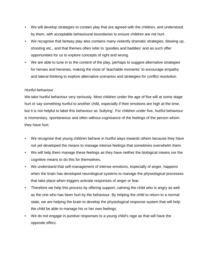- We will develop strategies to contain play that are agreed with the children, and understood by them, with acceptable behavioural boundaries to ensure children are not hurt.
- We recognise that fantasy play also contains many violently dramatic strategies, blowing up, shooting etc., and that themes often refer to 'goodies and baddies' and as such offer opportunities for us to explore concepts of right and wrong.
- We are able to tune in to the content of the play, perhaps to suggest alternative strategies for heroes and heroines, making the most of 'teachable moments' to encourage empathy and lateral thinking to explore alternative scenarios and strategies for conflict resolution.

#### *Hurtful behaviour*

We take hurtful behaviour very seriously. Most children under the age of five will at some stage hurt or say something hurtful to another child, especially if their emotions are high at the time, but it is not helpful to label this behaviour as 'bullying'. For children under five, hurtful behaviour is momentary, spontaneous and often without cognisance of the feelings of the person whom they have hurt.

- We recognise that young children behave in hurtful ways towards others because they have not yet developed the means to manage intense feelings that sometimes overwhelm them.
- We will help them manage these feelings as they have neither the biological means nor the cognitive means to do this for themselves.
- We understand that self-management of intense emotions, especially of anger, happens when the brain has developed neurological systems to manage the physiological processes that take place when triggers activate responses of anger or fear.
- Therefore we help this process by offering support, calming the child who is angry as well as the one who has been hurt by the behaviour. By helping the child to return to a normal state, we are helping the brain to develop the physiological response system that will help the child be able to manage his or her own feelings.
- We do not engage in punitive responses to a young child's rage as that will have the opposite effect.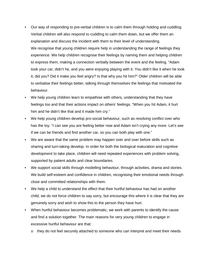- Our way of responding to pre-verbal children is to calm them through holding and cuddling. Verbal children will also respond to cuddling to calm them down, but we offer them an explanation and discuss the incident with them to their level of understanding. We recognise that young children require help in understanding the range of feelings they experience. We help children recognise their feelings by naming them and helping children to express them, making a connection verbally between the event and the feeling. "Adam took your car, didn't he, and you were enjoying playing with it. You didn't like it when he took it, did you? Did it make you feel angry? Is that why you hit him?" Older children will be able to verbalise their feelings better, talking through themselves the feelings that motivated the behaviour.
- We help young children learn to empathise with others, understanding that they have feelings too and that their actions impact on others' feelings. "When you hit Adam, it hurt him and he didn't like that and it made him cry."
- We help young children develop pro-social behaviour, such as resolving conflict over who has the toy. "I can see you are feeling better now and Adam isn't crying any more. Let's see if we can be friends and find another car, so you can both play with one."
- We are aware that the same problem may happen over and over before skills such as sharing and turn-taking develop. In order for both the biological maturation and cognitive development to take place, children will need repeated experiences with problem solving, supported by patient adults and clear boundaries.
- We support social skills through modelling behaviour, through activities, drama and stories. We build self-esteem and confidence in children, recognising their emotional needs through close and committed relationships with them.
- We help a child to understand the effect that their hurtful behaviour has had on another child; we do not force children to say sorry, but encourage this where it is clear that they are genuinely sorry and wish to show this to the person they have hurt.
- When hurtful behaviour becomes problematic, we work with parents to identify the cause and find a solution together. The main reasons for very young children to engage in excessive hurtful behaviour are that:
	- $\circ$  they do not feel securely attached to someone who can interpret and meet their needs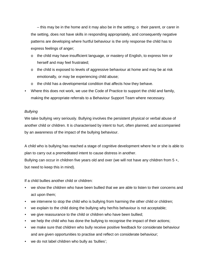– this may be in the home and it may also be in the setting;  $\circ$  their parent, or carer in the setting, does not have skills in responding appropriately, and consequently negative patterns are developing where hurtful behaviour is the only response the child has to express feelings of anger;

- $\circ$  the child may have insufficient language, or mastery of English, to express him or herself and may feel frustrated;
- $\circ$  the child is exposed to levels of aggressive behaviour at home and may be at risk emotionally, or may be experiencing child abuse;
- $\circ$  the child has a developmental condition that affects how they behave.
- Where this does not work, we use the Code of Practice to support the child and family, making the appropriate referrals to a Behaviour Support Team where necessary.

#### *Bullying*

We take bullying very seriously. Bullying involves the persistent physical or verbal abuse of another child or children. It is characterised by intent to hurt, often planned, and accompanied by an awareness of the impact of the bullying behaviour.

A child who is bullying has reached a stage of cognitive development where he or she is able to plan to carry out a premeditated intent to cause distress in another.

Bullying can occur in children five years old and over (we will not have any children from 5 +, but need to keep this in mind).

If a child bullies another child or children:

- we show the children who have been bullied that we are able to listen to their concerns and act upon them;
- we intervene to stop the child who is bullying from harming the other child or children;
- we explain to the child doing the bullying why her/his behaviour is not acceptable;
- we give reassurance to the child or children who have been bullied;
- we help the child who has done the bullying to recognise the impact of their actions;
- we make sure that children who bully receive positive feedback for considerate behaviour and are given opportunities to practise and reflect on considerate behaviour;
- we do not label children who bully as 'bullies';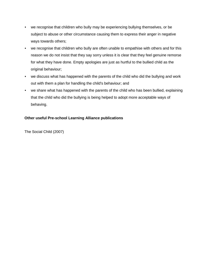- we recognise that children who bully may be experiencing bullying themselves, or be subject to abuse or other circumstance causing them to express their anger in negative ways towards others;
- we recognise that children who bully are often unable to empathise with others and for this reason we do not insist that they say sorry unless it is clear that they feel genuine remorse for what they have done. Empty apologies are just as hurtful to the bullied child as the original behaviour;
- we discuss what has happened with the parents of the child who did the bullying and work out with them a plan for handling the child's behaviour; and
- we share what has happened with the parents of the child who has been bullied, explaining that the child who did the bullying is being helped to adopt more acceptable ways of behaving.

# **Other useful Pre-school Learning Alliance publications**

The Social Child (2007)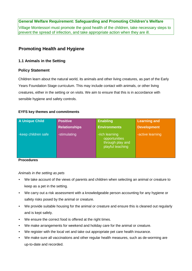Village Montessori must promote the good health of the children, take necessary steps to prevent the spread of infection, and take appropriate action when they are ill.

# **Promoting Health and Hygiene**

### **1.1 Animals in the Setting**

#### **Policy Statement**

Children learn about the natural world, its animals and other living creatures, as part of the Early Years Foundation Stage curriculum. This may include contact with animals, or other living creatures, either in the setting or on visits. We aim to ensure that this is in accordance with sensible hygiene and safety controls.

#### **EYFS key themes and commitments**

| <b>A Unique Child</b> | <b>Positive</b>      | <b>Enabling</b>                                                         | <b>Learning and</b> |
|-----------------------|----------------------|-------------------------------------------------------------------------|---------------------|
|                       | <b>Relationships</b> | <b>Environments</b>                                                     | <b>Development</b>  |
| -keep children safe   | -stimulating         | -rich learning<br>opportunities<br>through play and<br>playful teaching | -active learning    |

#### **Procedures**

# *Animals in the setting as pets*

- We take account of the views of parents and children when selecting an animal or creature to keep as a pet in the setting.
- We carry out a risk assessment with a knowledgeable person accounting for any hygiene or safety risks posed by the animal or creature.
- We provide suitable housing for the animal or creature and ensure this is cleaned out regularly and is kept safely.
- We ensure the correct food is offered at the right times.
- We make arrangements for weekend and holiday care for the animal or creature.
- We register with the local vet and take out appropriate pet care health insurance.
- We make sure all vaccinations and other regular health measures, such as de-worming are up-to-date and recorded.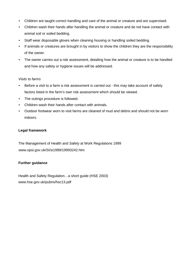- Children are taught correct handling and care of the animal or creature and are supervised.
- Children wash their hands after handling the animal or creature and do not have contact with animal soil or soiled bedding.
- Staff wear disposable gloves when cleaning housing or handling soiled bedding.
- If animals or creatures are brought in by visitors to show the children they are the responsibility of the owner.
- The owner carries out a risk assessment, detailing how the animal or creature is to be handled and how any safety or hygiene issues will be addressed.

#### *Visits to farms*

- Before a visit to a farm a risk assessment is carried out this may take account of safety factors listed in the farm's own risk assessment which should be viewed.
- The outings procedure is followed.
- Children wash their hands after contact with animals.
- Outdoor footwear worn to visit farms are cleaned of mud and debris and should not be worn indoors.

# **Legal framework**

The Management of Health and Safety at Work Regulations 1999 www.opsi.gov.uk/SI/si1999/19993242.htm

# **Further guidance**

Health and Safety Regulation…a short guide (HSE 2003) www.hse.gov.uk/pubns/hsc13.pdf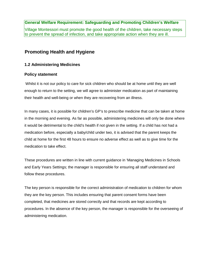Village Montessori must promote the good health of the children, take necessary steps to prevent the spread of infection, and take appropriate action when they are ill.

# **Promoting Health and Hygiene**

# **1.2 Administering Medicines**

# **Policy statement**

Whilst it is not our policy to care for sick children who should be at home until they are well enough to return to the setting, we will agree to administer medication as part of maintaining their health and well-being or when they are recovering from an illness.

In many cases, it is possible for children's GP's to prescribe medicine that can be taken at home in the morning and evening. As far as possible, administering medicines will only be done where it would be detrimental to the child's health if not given in the setting. If a child has not had a medication before, especially a baby/child under two, it is advised that the parent keeps the child at home for the first 48 hours to ensure no adverse effect as well as to give time for the medication to take effect.

These procedures are written in line with current guidance in 'Managing Medicines in Schools and Early Years Settings; the manager is responsible for ensuring all staff understand and follow these procedures.

The key person is responsible for the correct administration of medication to children for whom they are the key person. This includes ensuring that parent consent forms have been completed, that medicines are stored correctly and that records are kept according to procedures. In the absence of the key person, the manager is responsible for the overseeing of administering medication.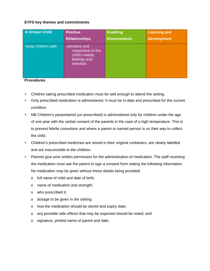#### **EYFS key themes and commitments**

| A Unique Child      | <b>Positive</b>                                                                           | <b>Enabling</b>     | <b>Learning and</b> |
|---------------------|-------------------------------------------------------------------------------------------|---------------------|---------------------|
|                     | <b>Relationships</b>                                                                      | <b>Environments</b> | <b>Development</b>  |
| -keep children safe | -sensitive and<br>responsive to the<br>child's needs,<br>feelings and<br><b>interests</b> |                     |                     |

#### **Procedures**

- Children taking prescribed medication must be well enough to attend the setting.
- Only prescribed medication is administered. It must be in-date and prescribed for the current condition.
- NB Children's paracetamol (un-prescribed) is administered only for children under the age of one year with the verbal consent of the parents in the case of a high temperature. This is to prevent febrile convulsion and where a parent or named person is on their way to collect the child.
- Children's prescribed medicines are stored in their original containers, are clearly labelled and are inaccessible to the children.
- Parents give prior written permission for the administration of medication. The staff receiving the medication must ask the parent to sign a consent form stating the following information. No medication may be given without these details being provided:
	- o full name of child and date of birth;
	- o name of medication and strength;
	- o who prescribed it;
	- o dosage to be given in the setting;
	- o how the medication should be stored and expiry date;
	- o any possible side effects that may be expected should be noted; and
	- o signature, printed name of parent and date.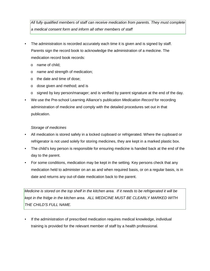*All fully qualified members of staff can receive medication from parents. They must complete a medical consent form and inform all other members of staff* 

- The administration is recorded accurately each time it is given and is signed by staff. Parents sign the record book to acknowledge the administration of a medicine. The medication record book records:
	- o name of child;
	- o name and strength of medication;
	- o the date and time of dose;
	- o dose given and method; and is
	- $\circ$  signed by key person/manager; and is verified by parent signature at the end of the day.
- We use the Pre-school Learning Alliance's publication *Medication Record* for recording administration of medicine and comply with the detailed procedures set out in that publication.

# *Storage of medicines*

- All medication is stored safely in a locked cupboard or refrigerated. Where the cupboard or refrigerator is not used solely for storing medicines, they are kept in a marked plastic box.
- The child's key person is responsible for ensuring medicine is handed back at the end of the day to the parent.
- For some conditions, medication may be kept in the setting. Key persons check that any medication held to administer on an as and when required basis, or on a regular basis, is in date and returns any out-of-date medication back to the parent.

*Medicine is stored on the top shelf in the kitchen area. If it needs to be refrigerated it will be kept in the fridge in the kitchen area. ALL MEDICINE MUST BE CLEARLY MARKED WITH THE CHILD'S FULL NAME.* 

If the administration of prescribed medication requires medical knowledge, individual training is provided for the relevant member of staff by a health professional.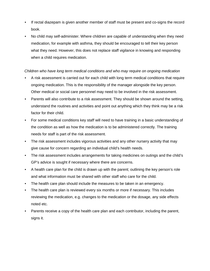- If rectal diazepam is given another member of staff must be present and co-signs the record book.
- No child may self-administer. Where children are capable of understanding when they need medication, for example with asthma, they should be encouraged to tell their key person what they need. However, this does not replace staff vigilance in knowing and responding when a child requires medication.

#### *Children who have long term medical conditions and who may require on ongoing medication*

- A risk assessment is carried out for each child with long term medical conditions that require ongoing medication. This is the responsibility of the manager alongside the key person. Other medical or social care personnel may need to be involved in the risk assessment.
- Parents will also contribute to a risk assessment. They should be shown around the setting, understand the routines and activities and point out anything which they think may be a risk factor for their child.
- For some medical conditions key staff will need to have training in a basic understanding of the condition as well as how the medication is to be administered correctly. The training needs for staff is part of the risk assessment.
- The risk assessment includes vigorous activities and any other nursery activity that may give cause for concern regarding an individual child's health needs.
- The risk assessment includes arrangements for taking medicines on outings and the child's GP's advice is sought if necessary where there are concerns.
- A health care plan for the child is drawn up with the parent; outlining the key person's role and what information must be shared with other staff who care for the child.
- The health care plan should include the measures to be taken in an emergency.
- The health care plan is reviewed every six months or more if necessary. This includes reviewing the medication, e.g. changes to the medication or the dosage, any side effects noted etc.
- Parents receive a copy of the health care plan and each contributor, including the parent, signs it.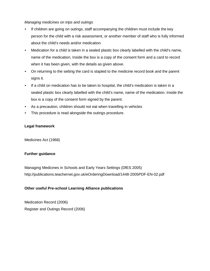#### *Managing medicines on trips and outings*

- If children are going on outings, staff accompanying the children must include the key person for the child with a risk assessment, or another member of staff who is fully informed about the child's needs and/or medication.
- Medication for a child is taken in a sealed plastic box clearly labelled with the child's name, name of the medication, Inside the box is a copy of the consent form and a card to record when it has been given, with the details as given above.
- On returning to the setting the card is stapled to the medicine record book and the parent signs it.
- If a child on medication has to be taken to hospital, the child's medication is taken in a sealed plastic box clearly labelled with the child's name, name of the medication. Inside the box is a copy of the consent form signed by the parent.
- As a precaution, children should not eat when travelling in vehicles
- This procedure is read alongside the outings procedure.

#### **Legal framework**

Medicines Act (1968)

#### **Further guidance**

Managing Medicines in Schools and Early Years Settings (DfES 2005) http://publications.teachernet.gov.uk/eOrderingDownload/1448-2005PDF-EN-02.pdf

#### **Other useful Pre-school Learning Alliance publications**

Medication Record (2006) Register and Outings Record (2006)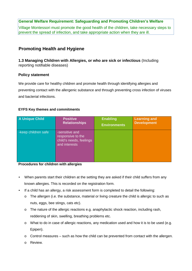Village Montessori must promote the good health of the children, take necessary steps to prevent the spread of infection, and take appropriate action when they are ill.

# **Promoting Health and Hygiene**

**1.3 Managing Children with Allergies, or who are sick or infectious** (Including reporting notifiable diseases)

#### **Policy statement**

We provide care for healthy children and promote health through identifying allergies and preventing contact with the allergenic substance and through preventing cross infection of viruses and bacterial infections.

#### **EYFS Key themes and commitments**

| <b>A Unique Child</b> | <b>Positive</b>                                                                 | <b>Enabling</b>     | <b>Learning and</b> |
|-----------------------|---------------------------------------------------------------------------------|---------------------|---------------------|
|                       | <b>Relationships</b>                                                            | <b>Environments</b> | <b>Development</b>  |
| -keep children safe   | -sensitive and<br>responsive to the<br>child's needs, feelings<br>and interests |                     |                     |

#### **Procedures for children with allergies**

- When parents start their children at the setting they are asked if their child suffers from any known allergies. This is recorded on the registration form.
- If a child has an allergy, a risk assessment form is completed to detail the following:
	- o The allergen (i.e. the substance, material or living creature the child is allergic to such as nuts, eggs, bee stings, cats etc).
	- $\circ$  The nature of the allergic reactions e.g. anaphylactic shock reaction, including rash, reddening of skin, swelling, breathing problems etc.
	- o What to do in case of allergic reactions, any medication used and how it is to be used (e.g. Epipen).
	- o Control measures such as how the child can be prevented from contact with the allergen.
	- o Review.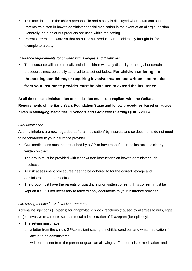- This form is kept in the child's personal file and a copy is displayed where staff can see it.
- Parents train staff in how to administer special medication in the event of an allergic reaction.
- Generally, no nuts or nut products are used within the setting.
- Parents are made aware so that no nut or nut products are accidentally brought in, for example to a party.

#### *Insurance requirements for children with allergies and disabilities*

• The insurance will automatically include children with any disability or allergy but certain procedures must be strictly adhered to as set out below. **For children suffering life threatening conditions, or requiring invasive treatments; written confirmation from your insurance provider must be obtained to extend the insurance.**

# **At all times the administration of medication must be compliant with the Welfare Requirements of the Early Years Foundation Stage and follow procedures based on advice given in** *Managing Medicines in Schools and Early Years Settings* **(DfES 2005)**

# *Oral Medication*

Asthma inhalers are now regarded as "oral medication" by insurers and so documents do not need to be forwarded to your insurance provider.

- Oral medications must be prescribed by a GP or have manufacturer's instructions clearly written on them.
- The group must be provided with clear written instructions on how to administer such medication.
- All risk assessment procedures need to be adhered to for the correct storage and administration of the medication.
- The group must have the parents or guardians prior written consent. This consent must be kept on file. It is not necessary to forward copy documents to your insurance provider.

# *Life saving medication & invasive treatments*

Adrenaline injections (Epipens) for anaphylactic shock reactions (caused by allergies to nuts, eggs etc) or invasive treatments such as rectal administration of Diazepam (for epilepsy).

- The setting must have:
	- o a letter from the child's GP/consultant stating the child's condition and what medication if any is to be administered;
	- o written consent from the parent or guardian allowing staff to administer medication; and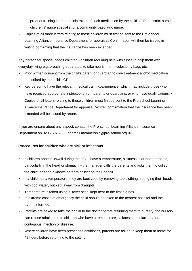- $\circ$  proof of training in the administration of such medication by the child's GP, a district nurse, children's' nurse specialist or a community paediatric nurse.
- Copies of all three letters relating to these children must first be sent to the Pre-school Learning Alliance Insurance Department for appraisal. Confirmation will then be issued in writing confirming that the insurance has been extended.

Key person for special needs children - children requiring help with tubes to help them with everyday living e.g. breathing apparatus, to take nourishment, colostomy bags etc.

- Prior written consent from the child's parent or guardian to give treatment and/or medication prescribed by the child's GP.
- Key person to have the relevant medical training/experience, which may include those who have received appropriate instructions from parents or guardians, or who have qualifications. • Copies of all letters relating to these children must first be sent to the Pre-school Learning Alliance Insurance Department for appraisal. Written confirmation that the insurance has been extended will be issued by return.

If you are unsure about any aspect, contact the Pre-school Learning Alliance Insurance Department on 020 7697 2585 or email membership@pre-school.org.uk.

# **Procedures for children who are sick or infectious**

- If children appear unwell during the day have a temperature, sickness, diarrhoea or pains, particularly in the head or stomach – the manager calls the parents and asks them to collect the child, or send a known carer to collect on their behalf.
- If a child has a temperature, they are kept cool, by removing top clothing, sponging their heads with cool water, but kept away from draughts.
- Temperature is taken using a 'fever scan' kept near to the first aid box.
- In extreme cases of emergency the child should be taken to the nearest hospital and the parent informed.
- Parents are asked to take their child to the doctor before returning them to nursery; the nursery can refuse admittance to children who have a temperature, sickness and diarrhoea or a contagious infection or disease.
- Where children have been prescribed antibiotics, parents are asked to keep them at home for 48 hours before returning to the setting.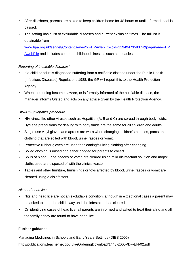- After diarrhoea, parents are asked to keep children home for 48 hours or until a formed stool is passed.
- The setting has a list of excludable diseases and current exclusion times. The full list is obtainable from

www.hpa.org.uk/servlet/ContentServer?c=HPAweb\_C&cid=1194947358374&pagename=HP AwebFile and includes common childhood illnesses such as measles.

# *Reporting of 'notifiable diseases'*

- If a child or adult is diagnosed suffering from a notifiable disease under the Public Health (Infectious Diseases) Regulations 1988, the GP will report this to the Health Protection Agency.
- When the setting becomes aware, or is formally informed of the notifiable disease, the manager informs Ofsted and acts on any advice given by the Health Protection Agency.

# *HIV/AIDS/Hepatitis procedure*

- HIV virus, like other viruses such as Hepatitis, (A, B and C) are spread through body fluids. Hygiene precautions for dealing with body fluids are the same for all children and adults.
- Single use vinyl gloves and aprons are worn when changing children's nappies, pants and clothing that are soiled with blood, urine, faeces or vomit.
- Protective rubber gloves are used for cleaning/sluicing clothing after changing.
- Soiled clothing is rinsed and either bagged for parents to collect.
- Spills of blood, urine, faeces or vomit are cleared using mild disinfectant solution and mops; cloths used are disposed of with the clinical waste.
- Tables and other furniture, furnishings or toys affected by blood, urine, faeces or vomit are cleaned using a disinfectant.

# *Nits and head lice*

- Nits and head lice are not an excludable condition, although in exceptional cases a parent may be asked to keep the child away until the infestation has cleared.
- On identifying cases of head lice, all parents are informed and asked to treat their child and all the family if they are found to have head lice.

# **Further guidance**

Managing Medicines in Schools and Early Years Settings (DfES 2005) http://publications.teachernet.gov.uk/eOrderingDownload/1448-2005PDF-EN-02.pdf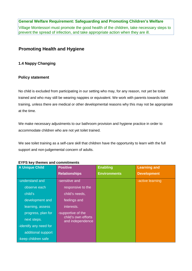Village Montessori must promote the good health of the children, take necessary steps to prevent the spread of infection, and take appropriate action when they are ill.

# **Promoting Health and Hygiene**

# **1.4 Nappy Changing**

# **Policy statement**

No child is excluded from participating in our setting who may, for any reason, not yet be toilet trained and who may still be wearing nappies or equivalent. We work with parents towards toilet training, unless there are medical or other developmental reasons why this may not be appropriate at the time.

We make necessary adjustments to our bathroom provision and hygiene practice in order to accommodate children who are not yet toilet trained.

We see toilet training as a self-care skill that children have the opportunity to learn with the full support and non-judgemental concern of adults.

| <b>A Unique Child</b>  | <b>Positive</b>                         | <b>Enabling</b>     | <b>Learning and</b> |
|------------------------|-----------------------------------------|---------------------|---------------------|
|                        | <b>Relationships</b>                    | <b>Environments</b> | <b>Development</b>  |
| -understand and        | -sensitive and                          |                     | -active learning    |
| observe each           | responsive to the                       |                     |                     |
| child's                | child's needs,                          |                     |                     |
| development and        | feelings and                            |                     |                     |
| learning, assess       | interests.                              |                     |                     |
| progress, plan for     | -supportive of the                      |                     |                     |
| next steps.            | child's own efforts<br>and independence |                     |                     |
| -identify any need for |                                         |                     |                     |
| additional support     |                                         |                     |                     |
| -keep children safe    |                                         |                     |                     |

#### **EYFS key themes and commitments**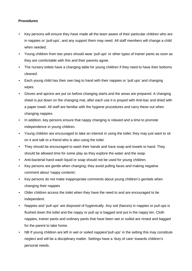### **Procedures**

- Key persons will ensure they have made all the team aware of their particular children who are in nappies or 'pull-ups', and any support them may need. All staff members will change a child when needed.
- Young children from two years should wear 'pull ups' or other types of trainer pants as soon as they are comfortable with this and their parents agree.
- The nursery toilets have a changing table for young children if they need to have their bottoms cleaned.
- Each young child has their own bag to hand with their nappies or 'pull ups' and changing wipes.
- Gloves and aprons are put on before changing starts and the areas are prepared. A changing sheet is put down on the changing mat, after each use it is prayed with Anti-bac and dried with a paper towel. All staff are familiar with the hygiene procedures and carry these out when changing nappies.
- In addition, key persons ensure that nappy changing is relaxed and a time to promote independence in young children.
- Young children are encouraged to take an interest in using the toilet; they may just want to sit on it and talk to a friend who is also using the toilet.
- They should be encouraged to wash their hands and have soap and towels to hand. They should be allowed time for some play as they explore the water and the soap.
- Anti-bacterial hand wash liquid or soap should not be used for young children.
- Key persons are gentle when changing; they avoid pulling faces and making negative comment about 'nappy contents'.
- Key persons do not make inappropriate comments about young children's genitals when changing their nappies
- Older children access the toilet when they have the need to and are encouraged to be independent.
- Nappies and 'pull ups' are disposed of hygienically. Any soil (faeces) in nappies or pull ups is flushed down the toilet and the nappy or pull up is bagged and put in the nappy bin. Cloth nappies, trainer pants and ordinary pants that have been wet or soiled are rinsed and bagged for the parent to take home.
- NB If young children are left in wet or soiled nappies/'pull ups' in the setting this may constitute neglect and will be a disciplinary matter. Settings have a 'duty of care' towards children's personal needs.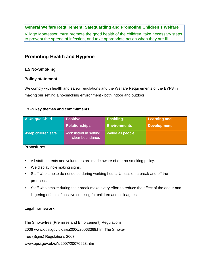Village Montessori must promote the good health of the children, take necessary steps to prevent the spread of infection, and take appropriate action when they are ill.

# **Promoting Health and Hygiene**

# **1.5 No-Smoking**

# **Policy statement**

We comply with health and safety regulations and the Welfare Requirements of the EYFS in making our setting a no-smoking environment - both indoor and outdoor.

# **EYFS key themes and commitments**

| <b>A Unique Child</b> | <b>Positive</b>                            | <b>Enabling</b>     | <b>Learning and</b> |
|-----------------------|--------------------------------------------|---------------------|---------------------|
|                       | <b>Relationships</b>                       | <b>Environments</b> | <b>Development</b>  |
| -keep children safe   | -consistent in setting<br>clear boundaries | -value all people   |                     |

### **Procedures**

- All staff, parents and volunteers are made aware of our no-smoking policy.
- We display no-smoking signs.
- Staff who smoke do not do so during working hours. Unless on a break and off the premises.
- Staff who smoke during their break make every effort to reduce the effect of the odour and lingering effects of passive smoking for children and colleagues.

# **Legal framework**

The Smoke-free (Premises and Enforcement) Regulations

2006 www.opsi.gov.uk/si/si2006/20063368.htm The Smoke-

free (Signs) Regulations 2007

www.opsi.gov.uk/si/si2007/20070923.htm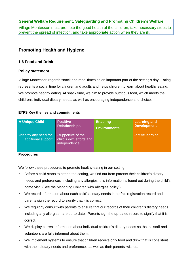Village Montessori must promote the good health of the children, take necessary steps to prevent the spread of infection, and take appropriate action when they are ill.

# **Promoting Health and Hygiene**

### **1.6 Food and Drink**

#### **Policy statement**

Village Montessori regards snack and meal times as an important part of the setting's day. Eating represents a social time for children and adults and helps children to learn about healthy eating. We promote healthy eating. At snack time, we aim to provide nutritious food, which meets the children's individual dietary needs, as well as encouraging independence and choice.

#### **EYFS Key themes and commitments**

| <b>A Unique Child</b>                        | <b>Positive</b>                                               | <b>Enabling</b>     | <b>Learning and</b> |
|----------------------------------------------|---------------------------------------------------------------|---------------------|---------------------|
|                                              | <b>Relationships</b>                                          | <b>Environments</b> | <b>Development</b>  |
| -identify any need for<br>additional support | -supportive of the<br>child's own efforts and<br>independence |                     | -active learning    |

#### **Procedures**

We follow these procedures to promote healthy eating in our setting.

- Before a child starts to attend the setting, we find out from parents their children's dietary needs and preferences; including any allergies, this information is found out during the child's home visit. (See the Managing Children with Allergies policy.)
- We record information about each child's dietary needs in her/his registration record and parents sign the record to signify that it is correct.
- We regularly consult with parents to ensure that our records of their children's dietary needs including any allergies - are up-to-date. Parents sign the up-dated record to signify that it is correct.
- We display current information about individual children's dietary needs so that all staff and volunteers are fully informed about them.
- We implement systems to ensure that children receive only food and drink that is consistent with their dietary needs and preferences as well as their parents' wishes.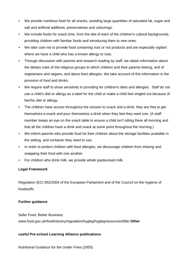- We provide nutritious food for all snacks, avoiding large quantities of saturated fat, sugar and salt and artificial additives, preservatives and colourings.
- We include foods for snack time, from the diet of each of the children's cultural backgrounds, providing children with familiar foods and introducing them to new ones.
- We take care not to provide food containing nuts or nut products and are especially vigilant where we have a child who has a known allergy to nuts.
- Through discussion with parents and research reading by staff, we obtain information about the dietary rules of the religious groups to which children and their parents belong, and of vegetarians and vegans, and about food allergies. We take account of this information in the provision of food and drinks.
- We require staff to show sensitivity in providing for children's diets and allergies. Staff do not use a child's diet or allergy as a label for the child or make a child feel singled out because of her/his diet or allergy.
- The children have access throughout the session to snack and a drink, they are free to get themselves a snack and pour themselves a drink when they feel they want one. (A staff member keeps an eye on the snack table to ensure a child isn't sitting there all morning and that all the children have a drink and snack at some point throughout the morning.)
- We inform parents who provide food for their children about the storage facilities available in the setting, and container they need to use.
- In order to protect children with food allergies, we discourage children from sharing and swapping their food with one another.
- For children who drink milk, we provide whole pasteurised milk.

# **Legal Framework**

Regulation (EC) 852/2004 of the European Parliament and of the Council on the hygiene of foodstuffs

# **Further guidance**

Safer Food, Better Business www.food.gov.uk/foodindustry/regulation/hygleg/hyglegresources/sfbb/ **Other** 

# **useful Pre-school Learning Alliance publications:**

Nutritional Guidance for the Under Fives (2005)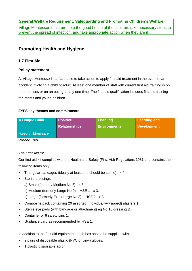Village Montessori must promote the good health of the children, take necessary steps to prevent the spread of infection, and take appropriate action when they are ill.

# **Promoting Health and Hygiene**

# **1.7 First Aid**

# **Policy statement**

At Village Montessori staff are able to take action to apply first aid treatment in the event of an accident involving a child or adult. At least one member of staff with current first aid training is on the premises or on an outing at any one time. The first aid qualification includes first aid training for infants and young children.

# **EYFS key themes and commitments**

| A Unique Child      | <b>Positive</b>      | <b>Enabling</b>     | <b>Learning and</b> |
|---------------------|----------------------|---------------------|---------------------|
|                     | <b>Relationships</b> | <b>Environments</b> | <b>Development</b>  |
| -keep children safe |                      |                     |                     |

#### **Procedures**

# *The First Aid Kit*

Our first aid kit complies with the Health and Safety (First Aid) Regulations 1981 and contains the following items only:

- Triangular bandages (ideally at least one should be sterile) x 4.
- Sterile dressings:
	- a) Small (formerly Medium No 8) x 3.
	- b) Medium (formerly Large No 9) HSE 1 x 3.
	- c) Large (formerly Extra Large No 3) HSE 2 x 3.
- Composite pack containing 20 assorted (individually-wrapped) plasters 1.
- Sterile eye pads (with bandage or attachment) eg No 16 dressing 2.
- Container or 6 safety pins 1.
- Guidance card as recommended by HSE 1.

In addition to the first aid equipment, each box should be supplied with:

- 2 pairs of disposable plastic (PVC or vinyl) gloves.
- 1 plastic disposable apron.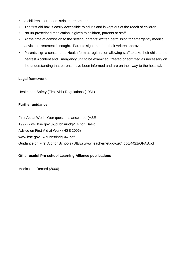- a children's forehead 'strip' thermometer.
- The first aid box is easily accessible to adults and is kept out of the reach of children.
- No un-prescribed medication is given to children, parents or staff.
- At the time of admission to the setting, parents' written permission for emergency medical advice or treatment is sought. Parents sign and date their written approval.
- Parents sign a consent the Health form at registration allowing staff to take their child to the nearest Accident and Emergency unit to be examined, treated or admitted as necessary on the understanding that parents have been informed and are on their way to the hospital.

#### **Legal framework**

Health and Safety (First Aid ) Regulations (1981)

#### **Further guidance**

First Aid at Work: Your questions answered (HSE 1997) www.hse.gov.uk/pubns/indg214.pdf Basic Advice on First Aid at Work (HSE 2006) www.hse.gov.uk/pubns/indg347.pdf Guidance on First Aid for Schools (DfEE) www.teachernet.gov.uk/\_doc/4421/GFAS.pdf

# **Other useful Pre-school Learning Alliance publications**

Medication Record (2006)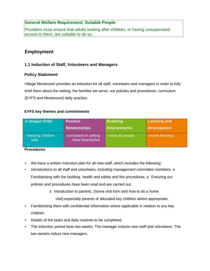# **General Welfare Requirement: Suitable People**

Providers must ensure that adults looking after children, or having unsupervised access to them, are suitable to do so.

# **Employment**

# **1.1 Induction of Staff, Volunteers and Managers**

#### **Policy Statement**

Village Montessori provides an induction for all staff, volunteers and managers in order to fully brief them about the setting, the families we serve, our policies and procedures, curriculum (EYFS and Montessori) daily practice.

#### **EYFS key themes and commitments**

| <b>A Unique Child</b>      | <b>Positive</b>                            | <b>Enabling</b>     | <b>Learning and</b> |
|----------------------------|--------------------------------------------|---------------------|---------------------|
|                            | <b>Relationships</b>                       | <b>Environments</b> | <b>Development</b>  |
| - keeping children<br>safe | -consistent in setting<br>clear boundaries | -value all people   | -active learning    |

#### **Procedures**

- We have a written induction plan for all new staff, which includes the following:
- Introductions to all staff and volunteers, including management committee members. o Familiarising with the building, health and safety and fire procedures. o Ensuring our policies and procedures have been read and are carried out.
	- o Introduction to parents, (home visit form and how to do a home

visit),especially parents of allocated key children where appropriate.

- Familiarising them with confidential information where applicable in relation to any key children.
- Details of the tasks and daily routines to be completed.
- The induction period lasts two weeks. The manager inducts new staff and volunteers. The two owners induct new managers.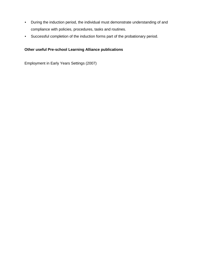- During the induction period, the individual must demonstrate understanding of and compliance with policies, procedures, tasks and routines.
- Successful completion of the induction forms part of the probationary period.

# **Other useful Pre-school Learning Alliance publications**

Employment in Early Years Settings (2007)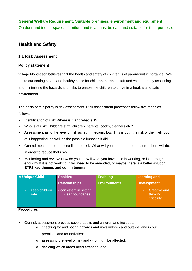**General Welfare Requirement: Suitable premises, environment and equipment**  Outdoor and indoor spaces, furniture and toys must be safe and suitable for their purpose.

# **Health and Safety**

#### **1.1 Risk Assessment**

#### **Policy statement**

Village Montessori believes that the health and safety of children is of paramount importance. We make our setting a safe and healthy place for children, parents, staff and volunteers by assessing and minimising the hazards and risks to enable the children to thrive in a healthy and safe environment.

The basis of this policy is risk assessment. Risk assessment processes follow five steps as follows:

- Identification of risk: Where is it and what is it?
- Who is at risk: Childcare staff, children, parents, cooks, cleaners etc?
- Assessment as to the level of risk as high, medium, low. This is both the risk of the likelihood of it happening, as well as the possible impact if it did.
- Control measures to reduce/eliminate risk: What will you need to do, or ensure others will do, in order to reduce that risk?
- Monitoring and review: How do you know if what you have said is working, or is thorough enough? If it is not working, it will need to be amended, or maybe there is a better solution. **EYFS key themes and commitments**

| <b>A Unique Child</b>           | <b>Positive</b>                             | <b>Enabling</b>     | <b>Learning and</b>                           |
|---------------------------------|---------------------------------------------|---------------------|-----------------------------------------------|
|                                 | Relationships                               | <b>Environments</b> | <b>Development</b>                            |
| Keep children<br>$\sim$<br>safe | - consistent in setting<br>clear boundaries |                     | <b>Creative and</b><br>thinking<br>critically |

#### **Procedures**

- Our risk assessment process covers adults and children and includes:
	- o checking for and noting hazards and risks indoors and outside, and in our premises and for activities;
	- o assessing the level of risk and who might be affected;
	- o deciding which areas need attention; and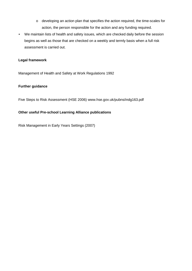- o developing an action plan that specifies the action required, the time-scales for action, the person responsible for the action and any funding required.
- We maintain lists of health and safety issues, which are checked daily before the session begins as well as those that are checked on a weekly and termly basis when a full risk assessment is carried out.

#### **Legal framework**

Management of Health and Safety at Work Regulations 1992

#### **Further guidance**

Five Steps to Risk Assessment (HSE 2006) www.hse.gov.uk/pubns/indg163.pdf

#### **Other useful Pre-school Learning Alliance publications**

Risk Management in Early Years Settings (2007)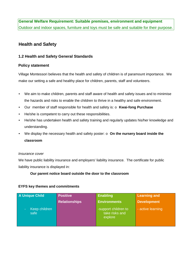**General Welfare Requirement: Suitable premises, environment and equipment**  Outdoor and indoor spaces, furniture and toys must be safe and suitable for their purpose.

# **Health and Safety**

# **1.2 Health and Safety General Standards**

#### **Policy statement**

Village Montessori believes that the health and safety of children is of paramount importance. We make our setting a safe and healthy place for children, parents, staff and volunteers.

- We aim to make children, parents and staff aware of health and safety issues and to minimise the hazards and risks to enable the children to thrive in a healthy and safe environment.
- Our member of staff responsible for health and safety is: o **Kwai-fong Purchase**
- He/she is competent to carry out these responsibilities.
- He/she has undertaken health and safety training and regularly updates his/her knowledge and understanding.
- We display the necessary health and safety poster: o **On the nursery board inside the classroom**

#### *Insurance cover*

We have public liability insurance and employers' liability insurance. The certificate for public liability insurance is displayed in:

#### **Our parent notice board outside the door to the classroom**

#### **EYFS key themes and commitments**

| <b>A Unique Child</b>       | <b>Positive</b>      | <b>Enabling</b>                                   | <b>Learning and</b> |
|-----------------------------|----------------------|---------------------------------------------------|---------------------|
|                             | <b>Relationships</b> | <b>Environments</b>                               | <b>Development</b>  |
| Keep children<br>e.<br>safe |                      | -support children to<br>take risks and<br>explore | - active learning   |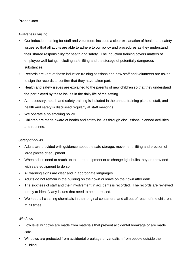### **Procedures**

#### *Awareness raising*

- Our induction training for staff and volunteers includes a clear explanation of health and safety issues so that all adults are able to adhere to our policy and procedures as they understand their shared responsibility for health and safety. The induction training covers matters of employee well-being, including safe lifting and the storage of potentially dangerous substances.
- Records are kept of these induction training sessions and new staff and volunteers are asked to sign the records to confirm that they have taken part.
- Health and safety issues are explained to the parents of new children so that they understand the part played by these issues in the daily life of the setting.
- As necessary, health and safety training is included in the annual training plans of staff, and health and safety is discussed regularly at staff meetings.
- We operate a no smoking policy.
- Children are made aware of health and safety issues through discussions, planned activities and routines.

#### *Safety of adults*

- Adults are provided with guidance about the safe storage, movement, lifting and erection of large pieces of equipment.
- When adults need to reach up to store equipment or to change light bulbs they are provided with safe equipment to do so.
- All warning signs are clear and in appropriate languages.
- Adults do not remain in the building on their own or leave on their own after dark.
- The sickness of staff and their involvement in accidents is recorded. The records are reviewed termly to identify any issues that need to be addressed.
- We keep all cleaning chemicals in their original containers, and all out of reach of the children, at all times.

#### *Windows*

- Low level windows are made from materials that prevent accidental breakage or are made safe.
- Windows are protected from accidental breakage or vandalism from people outside the building.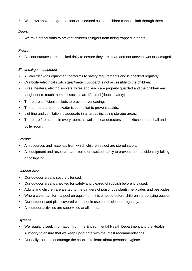• Windows above the ground floor are secured so that children cannot climb through them.

#### *Doors*

• We take precautions to prevent children's fingers from being trapped in doors.

### *Floors*

• All floor surfaces are checked daily to ensure they are clean and not uneven, wet or damaged.

### *Electrical/gas equipment*

- All electrical/gas equipment conforms to safety requirements and is checked regularly.
- Our boiler/electrical switch gear/meter cupboard is not accessible to the children.
- Fires, heaters, electric sockets, wires and leads are properly guarded and the children are taught not to touch them, all sockets are IP rated (double safety)
- There are sufficient sockets to prevent overloading.
- The temperature of hot water is controlled to prevent scalds.
- Lighting and ventilation is adequate in all areas including storage areas.
- There are fire alarms in every room, as well as heat detectors in the kitchen, main hall and boiler room.

#### *Storage*

- All resources and materials from which children select are stored safely.
- All equipment and resources are stored or stacked safely to prevent them accidentally falling or collapsing.

#### *Outdoor area*

- Our outdoor area is securely fenced.
- Our outdoor area is checked for safety and cleared of rubbish before it is used.
- Adults and children are alerted to the dangers of poisonous plants, herbicides and pesticides.
- Where water can form a pool on equipment, it is emptied before children start playing outside.
- Our outdoor sand pit is covered when not in use and is cleaned regularly.
- All outdoor activities are supervised at all times.

#### *Hygiene*

- We regularly seek information from the Environmental Health Department and the Health Authority to ensure that we keep up-to-date with the latest recommendations.
- Our daily routines encourage the children to learn about personal hygiene.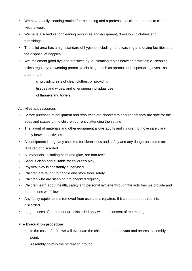- We have a daily cleaning routine for the setting and a professional cleaner comes to clean twice a week.
- We have a schedule for cleaning resources and equipment, dressing-up clothes and furnishings.
- The toilet area has a high standard of hygiene including hand washing and drying facilities and the disposal of nappies.
- We implement good hygiene practices by:  $\circ$  cleaning tables between activities;  $\circ$  cleaning toilets regularly; o wearing protective clothing - such as aprons and disposable gloves - as appropriate;

o providing sets of clean clothes; o providing tissues and wipes; and  $\circ$  ensuring individual use of flannels and towels.

### *Activities and resources*

- Before purchase of equipment and resources are checked to ensure that they are safe for the ages and stages of the children currently attending the setting.
- The layout of materials and other equipment allows adults and children to move safely and freely between activities.
- All equipment is regularly checked for cleanliness and safety and any dangerous items are repaired or discarded.
- All materials, including paint and glue, are non-toxic.
- Sand is clean and suitable for children's play.
- Physical play is constantly supervised.
- Children are taught to handle and store tools safely.
- Children who are sleeping are checked regularly.
- Children learn about health, safety and personal hygiene through the activities we provide and the routines we follow.
- Any faulty equipment is removed from use and is repaired. If it cannot be repaired it is discarded.
- Large pieces of equipment are discarded only with the consent of the manager.

#### **Fire Evacuation procedure**

- In the case of a fire we will evacuate the children to the relevant and nearest assembly point.
- Assembly point is the recreation ground.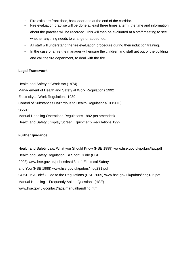- Fire exits are front door, back door and at the end of the corridor.
- Fire evaluation practise will be done at least three times a term, the time and information about the practise will be recorded. This will then be evaluated at a staff meeting to see whether anything needs to change or added too.
- All staff will understand the fire evaluation procedure during their induction training.
- In the case of a fire the manager will ensure the children and staff get out of the building and call the fire department, to deal with the fire.

#### **Legal Framework**

Health and Safety at Work Act (1974) Management of Health and Safety at Work Regulations 1992 Electricity at Work Regulations 1989 Control of Substances Hazardous to Health Regulations(COSHH) (2002) Manual Handling Operations Regulations 1992 (as amended) Health and Safety (Display Screen Equipment) Regulations 1992

#### **Further guidance**

Health and Safety Law: What you Should Know (HSE 1999) www.hse.gov.uk/pubns/law.pdf Health and Safety Regulation…a Short Guide (HSE 2003) www.hse.gov.uk/pubns/hsc13.pdf Electrical Safety and You (HSE 1998) www.hse.gov.uk/pubns/indg231.pdf COSHH: A Brief Guide to the Regulations (HSE 2005) www.hse.gov.uk/pubns/indg136.pdf Manual Handling – Frequently Asked Questions (HSE) www.hse.gov.uk/contact/faqs/manualhandling.htm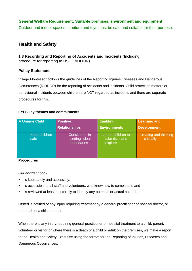**General Welfare Requirement: Suitable premises, environment and equipment**  Outdoor and indoor spaces, furniture and toys must be safe and suitable for their purpose.

# **Health and Safety**

**1.3 Recording and Reporting of Accidents and Incidents** (Including procedure for reporting to HSE, RIDDOR)

### **Policy Statement**

Village Montessori follows the guidelines of the Reporting Injuries, Diseases and Dangerous Occurrences (RIDDOR) for the reporting of accidents and incidents. Child protection matters or behavioural incidents between children are NOT regarded as incidents and there are separate procedures for this.

#### **EYFS key themes and commitments**

| <b>A Unique Child</b>      | <b>Positive</b>                                                     | <b>Enabling</b>                                   | <b>Learning and</b>                   |
|----------------------------|---------------------------------------------------------------------|---------------------------------------------------|---------------------------------------|
|                            | <b>Relationships</b>                                                | <b>Environments</b>                               | <b>Development</b>                    |
| Keep children<br>٠<br>safe | Consistent in<br>$\omega_{\rm{max}}$<br>setting clear<br>boundaries | -support children to<br>take risks and<br>explore | - creating and thinking<br>critically |

#### **Procedures**

#### *Our accident book:*

- is kept safely and accessibly;
- is accessible to all staff and volunteers, who know how to complete it; and
- is reviewed at least half termly to identify any potential or actual hazards.

Ofsted is notified of any injury requiring treatment by a general practitioner or hospital doctor, or the death of a child or adult.

When there is any injury requiring general practitioner or hospital treatment to a child, parent, volunteer or visitor or where there is a death of a child or adult on the premises, we make a report to the Health and Safety Executive using the format for the Reporting of Injuries, Diseases and Dangerous Occurrences.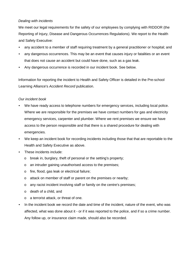#### *Dealing with incidents*

We meet our legal requirements for the safety of our employees by complying with RIDDOR (the Reporting of Injury, Disease and Dangerous Occurrences Regulations). We report to the Health and Safety Executive:

- any accident to a member of staff requiring treatment by a general practitioner or hospital; and
- any dangerous occurrences. This may be an event that causes injury or fatalities or an event that does not cause an accident but could have done, such as a gas leak.
- Any dangerous occurrence is recorded in our incident book. See below.

Information for reporting the incident to Health and Safety Officer is detailed in the Pre-school Learning Alliance's *Accident Record* publication.

#### *Our incident book*

- We have ready access to telephone numbers for emergency services, including local police. Where we are responsible for the premises we have contact numbers for gas and electricity emergency services, carpenter and plumber. Where we rent premises we ensure we have access to the person responsible and that there is a shared procedure for dealing with emergencies.
- We keep an incident book for recording incidents including those that that are reportable to the Health and Safety Executive as above.
- These incidents include:
	- o break in, burglary, theft of personal or the setting's property;
	- o an intruder gaining unauthorised access to the premises;
	- o fire, flood, gas leak or electrical failure;
	- o attack on member of staff or parent on the premises or nearby;
	- o any racist incident involving staff or family on the centre's premises;
	- o death of a child, and
	- o a terrorist attack, or threat of one.
- In the incident book we record the date and time of the incident, nature of the event, who was affected, what was done about it - or if it was reported to the police, and if so a crime number. Any follow up, or insurance claim made, should also be recorded.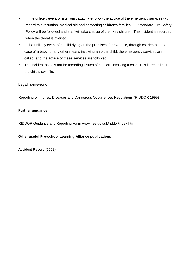- In the unlikely event of a terrorist attack we follow the advice of the emergency services with regard to evacuation, medical aid and contacting children's families. Our standard Fire Safety Policy will be followed and staff will take charge of their key children. The incident is recorded when the threat is averted.
- In the unlikely event of a child dying on the premises, for example, through cot death in the case of a baby, or any other means involving an older child, the emergency services are called, and the advice of these services are followed.
- The incident book is not for recording issues of concern involving a child. This is recorded in the child's own file.

### **Legal framework**

Reporting of Injuries, Diseases and Dangerous Occurrences Regulations (RIDDOR 1995)

#### **Further guidance**

RIDDOR Guidance and Reporting Form www.hse.gov.uk/riddor/index.htm

#### **Other useful Pre-school Learning Alliance publications**

Accident Record (2008)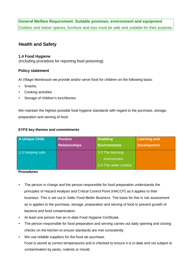# **General Welfare Requirement: Suitable premises, environment and equipment**

Outdoor and indoor spaces, furniture and toys must be safe and suitable for their purpose.

# **Health and Safety**

#### **1.4 Food Hygiene**

(Including procedure for reporting food poisoning)

# **Policy statement**

At Village Montessori we provide and/or serve food for children on the following basis:

- Snacks.
- Cooking activities
- Storage of children's lunchboxes.

We maintain the highest possible food hygiene standards with regard to the purchase, storage, preparation and serving of food.

#### **EYFS key themes and commitments**

| <b>A Unique Child</b> | <b>Positive</b>      | <b>Enabling</b>       | <b>Learning and</b> |
|-----------------------|----------------------|-----------------------|---------------------|
|                       | <b>Relationships</b> | <b>Environments</b>   | <b>Development</b>  |
| 1.3 Keeping safe      |                      | 3.3 The learning      |                     |
|                       |                      | environment           |                     |
|                       |                      | 3.4 The wider context |                     |

#### **Procedures**

- The person in charge and the person responsible for food preparation understands the principles of Hazard Analysis and Critical Control Point (HACCP) as it applies to their business. This is set out in *Safer Food Better Business*. The basis for this is risk assessment as is applies to the purchase, storage, preparation and serving of food to prevent growth of bacteria and food contamination.
- At least one person has an in-date Food Hygiene Certificate.
- The person responsible for food preparation and serving carries out daily opening and closing checks on the kitchen to ensure standards are met consistently.
- We use reliable suppliers for the food we purchase. Food is stored at correct temperatures and is checked to ensure it is in-date and not subject to contamination by pests, rodents or mould.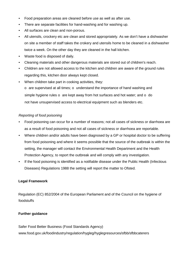- Food preparation areas are cleaned before use as well as after use.
- There are separate facilities for hand-washing and for washing up.
- All surfaces are clean and non-porous.
- All utensils, crockery etc are clean and stored appropriately. As we don't have a dishwasher on site a member of staff takes the crokery and utensils home to be cleaned in a dishwasher twice a week. On the other day they are cleaned in the hall kitchen.
- Waste food is disposed of daily.
- Cleaning materials and other dangerous materials are stored out of children's reach.
- Children are not allowed access to the kitchen and children are aware of the ground rules regarding this, kitchen door always kept closed.
- When children take part in cooking activities, they:
	- o are supervised at all times; o understand the importance of hand washing and simple hygiene rules  $\circ$  are kept away from hot surfaces and hot water; and  $\circ$  do not have unsupervised access to electrical equipment such as blenders etc.

#### *Reporting of food poisoning*

- Food poisoning can occur for a number of reasons; not all cases of sickness or diarrhoea are as a result of food poisoning and not all cases of sickness or diarrhoea are reportable.
- Where children and/or adults have been diagnosed by a GP or hospital doctor to be suffering from food poisoning and where it seems possible that the source of the outbreak is within the setting, the manager will contact the Environmental Health Department and the Health Protection Agency, to report the outbreak and will comply with any investigation.
- If the food poisoning is identified as a notifiable disease under the Public Health (Infectious Diseases) Regulations 1988 the setting will report the matter to Ofsted.

#### **Legal Framework**

Regulation (EC) 852/2004 of the European Parliament and of the Council on the hygiene of foodstuffs

#### **Further guidance**

Safer Food Better Business (Food Standards Agency) www.food.gov.uk/foodindustry/regulation/hygleg/hyglegresources/sfbb/sfbbcaterers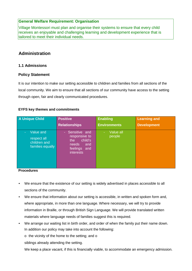# **General Welfare Requirement: Organisation**

Village Montessori must plan and organise their systems to ensure that every child receives an enjoyable and challenging learning and development experience that is tailored to meet their individual needs.

# **Administration**

# **1.1 Admissions**

### **Policy Statement**

It is our intention to make our setting accessible to children and families from all sections of the local community. We aim to ensure that all sections of our community have access to the setting through open, fair and clearly communicated procedures.

#### **EYFS key themes and commitments**

| A Unique Child                                               | <b>Positive</b>                                                                                            | <b>Enabling</b>     | <b>Learning and</b> |
|--------------------------------------------------------------|------------------------------------------------------------------------------------------------------------|---------------------|---------------------|
|                                                              | <b>Relationships</b>                                                                                       | <b>Environments</b> | <b>Development</b>  |
| Value and<br>respect all<br>children and<br>families equally | Sensitive and<br>÷.<br>responsive to<br>child's<br>the<br>needs<br>and<br>feelings and<br><b>interests</b> | Value all<br>people |                     |

#### **Procedures**

- We ensure that the existence of our setting is widely advertised in places accessible to all sections of the community.
- We ensure that information about our setting is accessible, in written and spoken form and, where appropriate, in more than one language. Where necessary, we will try to provide information in Braille, or through British Sign Language. We will provide translated written materials where language needs of families suggest this is required.
- We arrange our waiting list in birth order, and order of when the family put their name down. In addition our policy may take into account the following:
	- o the vicinity of the home to the setting; and o

siblings already attending the setting.

We keep a place vacant, if this is financially viable, to accommodate an emergency admission.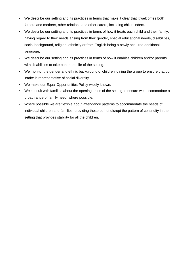- We describe our setting and its practices in terms that make it clear that it welcomes both fathers and mothers, other relations and other carers, including childminders.
- We describe our setting and its practices in terms of how it treats each child and their family, having regard to their needs arising from their gender, special educational needs, disabilities, social background, religion, ethnicity or from English being a newly acquired additional language.
- We describe our setting and its practices in terms of how it enables children and/or parents with disabilities to take part in the life of the setting.
- We monitor the gender and ethnic background of children joining the group to ensure that our intake is representative of social diversity.
- We make our Equal Opportunities Policy widely known.
- We consult with families about the opening times of the setting to ensure we accommodate a broad range of family need, where possible.
- Where possible we are flexible about attendance patterns to accommodate the needs of individual children and families, providing these do not disrupt the pattern of continuity in the setting that provides stability for all the children.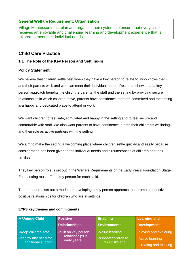# **General Welfare Requirement: Organisation**

Village Montessori must plan and organise their systems to ensure that every child receives an enjoyable and challenging learning and development experience that is tailored to meet their individual needs.

# **Child Care Practice**

### **1.1 The Role of the Key Person and Settling-In**

### **Policy Statement**

We believe that children settle best when they have a key person to relate to, who knows them and their parents well, and who can meet their individual needs. Research shows that a key person approach benefits the child, the parents, the staff and the setting by providing secure relationships in which children thrive, parents have confidence, staff are committed and the setting is a happy and dedicated place to attend or work in.

We want children to feel safe, stimulated and happy in the setting and to feel secure and comfortable with staff. We also want parents to have confidence in both their children's wellbeing and their role as active partners with the setting.

We aim to make the setting a welcoming place where children settle quickly and easily because consideration has been given to the individual needs and circumstances of children and their families.

They key person role is set out in the Welfare Requirements of the Early Years Foundation Stage. Each setting must offer a key person for each child.

The procedures set out a model for developing a key person approach that promotes effective and positive relationships for children who are in settings.

| <b>A Unique Child</b>                                               | <b>Positive</b>                                         | <b>Enabling</b>                                           | <b>Learning and</b>                                                  |
|---------------------------------------------------------------------|---------------------------------------------------------|-----------------------------------------------------------|----------------------------------------------------------------------|
|                                                                     | <b>Relationships</b>                                    | <b>Environments</b>                                       | <b>Development</b>                                                   |
| -Keep children safe<br>-identify any need for<br>additional support | -built on key person<br>relationships in<br>early years | -Value learning<br>-support children to<br>take risks and | -playing and exploring<br>-Active learning<br>-Creating and thinking |

#### **EYFS key themes and commitments**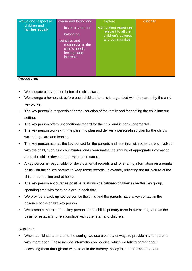| -value and respect all<br>children and<br>families equally | -warm and loving and<br>foster a sense of<br>belonging.<br>-sensitive and<br>responsive to the<br>child's needs<br>feelings and<br>interests. | explore<br>-stimulating resources,<br>relevant to all the<br>children's cultures<br>and communities | critically |
|------------------------------------------------------------|-----------------------------------------------------------------------------------------------------------------------------------------------|-----------------------------------------------------------------------------------------------------|------------|
|                                                            |                                                                                                                                               |                                                                                                     |            |

#### **Procedures**

- We allocate a key person before the child starts.
- We arrange a home visit before each child starts, this is organised with the parent by the child key worker.
- The key person is responsible for the induction of the family and for settling the child into our setting.
- The key person offers unconditional regard for the child and is non-judgemental.
- The key person works with the parent to plan and deliver a personalised plan for the child's well-being, care and leaning.
- The key person acts as the key contact for the parents and has links with other carers involved with the child, such as a childminder, and co-ordinates the sharing of appropriate information about the child's development with those carers.
- A key person is responsible for developmental records and for sharing information on a regular basis with the child's parents to keep those records up-to-date, reflecting the full picture of the child in our setting and at home.
- The key person encourages positive relationships between children in her/his key group, spending time with them as a group each day.
- We provide a back-up key person so the child and the parents have a key contact in the absence of the child's key person.
- We promote the role of the key person as the child's primary carer in our setting, and as the basis for establishing relationships with other staff and children.

#### *Settling-in*

• When a child starts to attend the setting, we use a variety of ways to provide his/her parents with information. These include information on policies, which we talk to parent about accessing them through our website or in the nursery, policy folder. Information about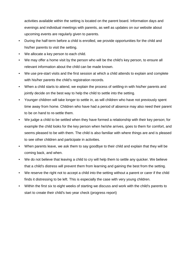activities available within the setting is located on the parent board. Information days and evenings and individual meetings with parents, as well as updates on our website about upcoming events are regularly given to parents.

- During the half-term before a child is enrolled, we provide opportunities for the child and his/her parents to visit the setting.
- We allocate a key person to each child.
- We may offer a home visit by the person who will be the child's key person, to ensure all relevant information about the child can be made known.
- We use pre-start visits and the first session at which a child attends to explain and complete with his/her parents the child's registration records.
- When a child starts to attend, we explain the process of settling-in with his/her parents and jointly decide on the best way to help the child to settle into the setting.
- Younger children will take longer to settle in, as will children who have not previously spent time away from home. Children who have had a period of absence may also need their parent to be on hand to re-settle them.
- We judge a child to be settled when they have formed a relationship with their key person; for example the child looks for the key person when he/she arrives, goes to them for comfort, and seems pleased to be with them. The child is also familiar with where things are and is pleased to see other children and participate in activities.
- When parents leave, we ask them to say goodbye to their child and explain that they will be coming back, and when.
- We do not believe that leaving a child to cry will help them to settle any quicker. We believe that a child's distress will prevent them from learning and gaining the best from the setting.
- We reserve the right not to accept a child into the setting without a parent or carer if the child finds it distressing to be left. This is especially the case with very young children.
- Within the first six to eight weeks of starting we discuss and work with the child's parents to start to create their child's two year check (progress report)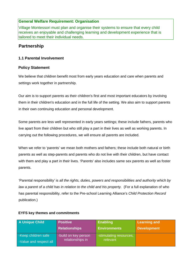# **General Welfare Requirement: Organisation**

Village Montessori must plan and organise their systems to ensure that every child receives an enjoyable and challenging learning and development experience that is tailored to meet their individual needs.

# **Partnership**

# **1.1 Parental Involvement**

# **Policy Statement**

We believe that children benefit most from early years education and care when parents and settings work together in partnership.

Our aim is to support parents as their children's first and most important educators by involving them in their children's education and in the full life of the setting. We also aim to support parents in their own continuing education and personal development.

Some parents are less well represented in early years settings; these include fathers, parents who live apart from their children but who still play a part in their lives as well as working parents. In carrying out the following procedures, we will ensure all parents are included.

When we refer to 'parents' we mean both mothers and fathers; these include both natural or birth parents as well as step-parents and parents who do not live with their children, but have contact with them and play a part in their lives. 'Parents' also includes same sex parents as well as foster parents.

'Parental responsibility' is *all the rights, duties, powers and responsibilities and authority which by law a parent of a child has in relation to the child and his property.* (For a full explanation of who has parental responsibility, refer to the Pre-school Learning Alliance's *Child Protection Record* publication.)

| <b>A Unique Child</b>                         | <b>Positive</b>                          | Enabling                            | <b>Learning and</b> |
|-----------------------------------------------|------------------------------------------|-------------------------------------|---------------------|
|                                               | <b>Relationships</b>                     | <b>Environments</b>                 | <b>Development</b>  |
| -Keep children safe<br>-Value and respect all | -build on key person<br>relationships in | -stimulating resources,<br>relevant |                     |

# **EYFS key themes and commitments**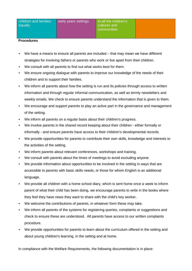#### **Procedures**

- We have a means to ensure all parents are included that may mean we have different strategies for involving fathers or parents who work or live apart from their children.
- We consult with all parents to find out what works best for them.
- We ensure ongoing dialogue with parents to improve our knowledge of the needs of their children and to support their families.
- We inform all parents about how the setting is run and its policies through access to written information and through regular informal communication, as well as termly newsletters and weekly emails. We check to ensure parents understand the information that is given to them.
- We encourage and support parents to play an active part in the governance and management of the setting.
- We inform all parents on a regular basis about their children's progress.
- We involve parents in the shared record keeping about their children either formally or informally - and ensure parents have access to their children's developmental records.
- We provide opportunities for parents to contribute their own skills, knowledge and interests to the activities of the setting.
- We inform parents about relevant conferences, workshops and training.
- We consult with parents about the times of meetings to avoid excluding anyone.
- We provide information about opportunities to be involved in the setting in ways that are accessible to parents with basic skills needs, or those for whom English is an additional language.
- We provide all children with a home school diary, which is sent home once a week to inform parent of what their child has been doing, we encourage parents to write in the books where they feel they have news they want to share with the child's key worker.
- We welcome the contributions of parents, in whatever form these may take.
- We inform all parents of the systems for registering queries, complaints or suggestions and check to ensure these are understood. All parents have access to our written complaints procedure.
- We provide opportunities for parents to learn about the curriculum offered in the setting and about young children's learning, in the setting and at home.

In compliance with the Welfare Requirements, the following documentation is in place: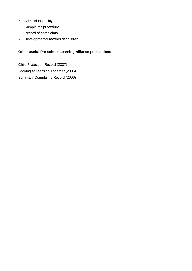- Admissions policy.
- Complaints procedure.
- Record of complaints.
- Developmental records of children.

# **Other useful Pre-school Learning Alliance publications**

Child Protection Record (2007) Looking at Learning Together (2005) Summary Complaints Record (2006)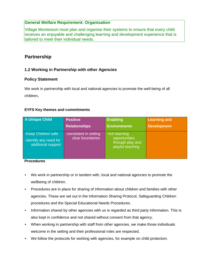# **General Welfare Requirement: Organisation**

Village Montessori must plan and organise their systems to ensure that every child receives an enjoyable and challenging learning and development experience that is tailored to meet their individual needs.

# **Partnership**

# **1.2 Working in Partnership with other Agencies**

### **Policy Statement**

We work in partnership with local and national agencies to promote the well-being of all children**.**

#### **EYFS Key themes and commitments**

| A Unique Child                                                      | <b>Positive</b>                            | <b>Enabling</b>                                                         | <b>Learning and</b> |
|---------------------------------------------------------------------|--------------------------------------------|-------------------------------------------------------------------------|---------------------|
|                                                                     | <b>Relationships</b>                       | <b>Environments</b>                                                     | <b>Development</b>  |
| -Keep Children safe<br>-Identify any need for<br>additional support | -consistent in setting<br>clear boundaries | -rich learning<br>opportunities<br>through play and<br>playful teaching |                     |

#### **Procedures**

- We work in partnership or in tandem with, local and national agencies to promote the wellbeing of children.
- Procedures are in place for sharing of information about children and families with other agencies. These are set out in the Information Sharing Protocol, Safeguarding Children procedures and the Special Educational Needs Procedures.
- Information shared by other agencies with us is regarded as third party information. This is also kept in confidence and not shared without consent from that agency.
- When working in partnership with staff from other agencies, we make those individuals welcome in the setting and their professional roles are respected.
- We follow the protocols for working with agencies, for example on child protection.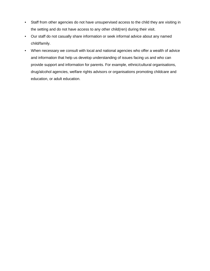- Staff from other agencies do not have unsupervised access to the child they are visiting in the setting and do not have access to any other child(ren) during their visit.
- Our staff do not casually share information or seek informal advice about any named child/family.
- When necessary we consult with local and national agencies who offer a wealth of advice and information that help us develop understanding of issues facing us and who can provide support and information for parents. For example, ethnic/cultural organisations, drug/alcohol agencies, welfare rights advisors or organisations promoting childcare and education, or adult education.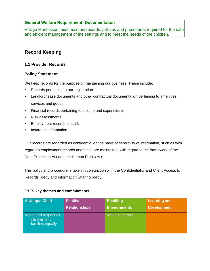# **General Welfare Requirement: Documentation**

Village Montessori must maintain records, policies and procedures required for the safe and efficient management of the settings and to meet the needs of the children.

# **Record Keeping**

### **1.1 Provider Records**

#### **Policy Statement**

We keep records for the purpose of maintaining our business. These include:

- Records pertaining to our registration.
- Landlord/lease documents and other contractual documentation pertaining to amenities, services and goods.
- Financial records pertaining to income and expenditure.
- Risk assessments.
- Employment records of staff.
- Insurance information

Our records are regarded as confidential on the basis of sensitivity of information, such as with regard to employment records and these are maintained with regard to the framework of the Data Protection Act and the Human Rights Act.

This policy and procedure is taken in conjunction with the Confidentiality and Client Access to Records policy and Information Sharing policy.

#### **EYFS key themes and commitments**

| A Unique Child                                            | <b>Positive</b>      | <b>Enabling</b>     | <b>Learning and</b> |
|-----------------------------------------------------------|----------------------|---------------------|---------------------|
|                                                           | <b>Relationships</b> | <b>Environments</b> | <b>Development</b>  |
| Value and respect all<br>children and<br>families equally |                      | Value all people    |                     |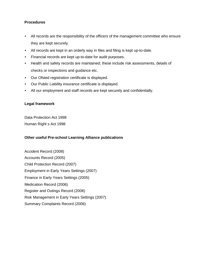#### **Procedures**

- All records are the responsibility of the officers of the management committee who ensure they are kept securely.
- All records are kept in an orderly way in files and filing is kept up-to-date.
- Financial records are kept up-to-date for audit purposes.
- Health and safety records are maintained; these include risk assessments, details of checks or inspections and guidance etc.
- Our Ofsted registration certificate is displayed.
- Our Public Liability insurance certificate is displayed.
- All our employment and staff records are kept securely and confidentially.

#### **Legal framework**

Data Protection Act 1998 Human Right s Act 1998

#### **Other useful Pre-school Learning Alliance publications**

Accident Record (2008) Accounts Record (2005) Child Protection Record (2007) Employment in Early Years Settings (2007) Finance in Early Years Settings (2005) Medication Record (2006) Register and Outings Record (2006) Risk Management in Early Years Settings (2007) Summary Complaints Record (2006)